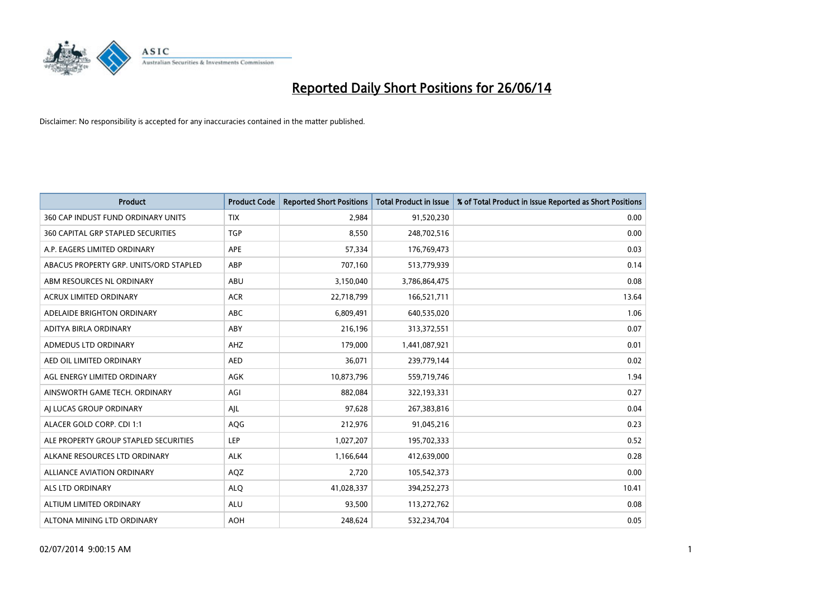

| <b>Product</b>                         | <b>Product Code</b> | <b>Reported Short Positions</b> | <b>Total Product in Issue</b> | % of Total Product in Issue Reported as Short Positions |
|----------------------------------------|---------------------|---------------------------------|-------------------------------|---------------------------------------------------------|
| 360 CAP INDUST FUND ORDINARY UNITS     | <b>TIX</b>          | 2,984                           | 91,520,230                    | 0.00                                                    |
| 360 CAPITAL GRP STAPLED SECURITIES     | <b>TGP</b>          | 8,550                           | 248,702,516                   | 0.00                                                    |
| A.P. EAGERS LIMITED ORDINARY           | <b>APE</b>          | 57,334                          | 176,769,473                   | 0.03                                                    |
| ABACUS PROPERTY GRP. UNITS/ORD STAPLED | ABP                 | 707,160                         | 513,779,939                   | 0.14                                                    |
| ABM RESOURCES NL ORDINARY              | ABU                 | 3,150,040                       | 3,786,864,475                 | 0.08                                                    |
| <b>ACRUX LIMITED ORDINARY</b>          | <b>ACR</b>          | 22,718,799                      | 166,521,711                   | 13.64                                                   |
| ADELAIDE BRIGHTON ORDINARY             | ABC                 | 6,809,491                       | 640,535,020                   | 1.06                                                    |
| ADITYA BIRLA ORDINARY                  | ABY                 | 216,196                         | 313,372,551                   | 0.07                                                    |
| ADMEDUS LTD ORDINARY                   | AHZ                 | 179,000                         | 1,441,087,921                 | 0.01                                                    |
| AED OIL LIMITED ORDINARY               | <b>AED</b>          | 36,071                          | 239,779,144                   | 0.02                                                    |
| AGL ENERGY LIMITED ORDINARY            | AGK                 | 10,873,796                      | 559,719,746                   | 1.94                                                    |
| AINSWORTH GAME TECH. ORDINARY          | AGI                 | 882,084                         | 322,193,331                   | 0.27                                                    |
| AI LUCAS GROUP ORDINARY                | AJL                 | 97,628                          | 267,383,816                   | 0.04                                                    |
| ALACER GOLD CORP. CDI 1:1              | <b>AQG</b>          | 212,976                         | 91,045,216                    | 0.23                                                    |
| ALE PROPERTY GROUP STAPLED SECURITIES  | <b>LEP</b>          | 1,027,207                       | 195,702,333                   | 0.52                                                    |
| ALKANE RESOURCES LTD ORDINARY          | <b>ALK</b>          | 1,166,644                       | 412,639,000                   | 0.28                                                    |
| ALLIANCE AVIATION ORDINARY             | AQZ                 | 2,720                           | 105,542,373                   | 0.00                                                    |
| <b>ALS LTD ORDINARY</b>                | <b>ALQ</b>          | 41,028,337                      | 394,252,273                   | 10.41                                                   |
| ALTIUM LIMITED ORDINARY                | <b>ALU</b>          | 93,500                          | 113,272,762                   | 0.08                                                    |
| ALTONA MINING LTD ORDINARY             | <b>AOH</b>          | 248,624                         | 532,234,704                   | 0.05                                                    |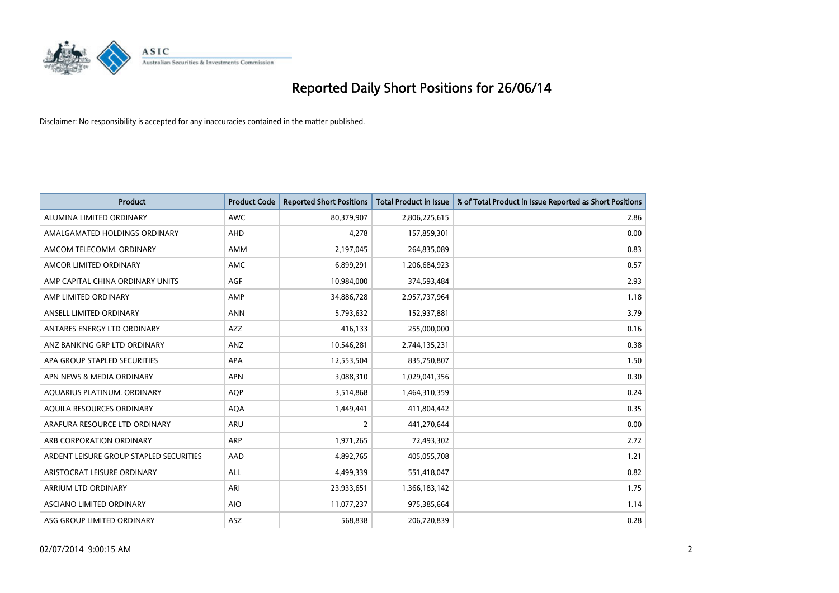

| <b>Product</b>                          | <b>Product Code</b> | <b>Reported Short Positions</b> | <b>Total Product in Issue</b> | % of Total Product in Issue Reported as Short Positions |
|-----------------------------------------|---------------------|---------------------------------|-------------------------------|---------------------------------------------------------|
| ALUMINA LIMITED ORDINARY                | <b>AWC</b>          | 80,379,907                      | 2,806,225,615                 | 2.86                                                    |
| AMALGAMATED HOLDINGS ORDINARY           | AHD                 | 4,278                           | 157,859,301                   | 0.00                                                    |
| AMCOM TELECOMM. ORDINARY                | <b>AMM</b>          | 2,197,045                       | 264,835,089                   | 0.83                                                    |
| AMCOR LIMITED ORDINARY                  | AMC                 | 6,899,291                       | 1,206,684,923                 | 0.57                                                    |
| AMP CAPITAL CHINA ORDINARY UNITS        | AGF                 | 10,984,000                      | 374,593,484                   | 2.93                                                    |
| AMP LIMITED ORDINARY                    | AMP                 | 34,886,728                      | 2,957,737,964                 | 1.18                                                    |
| ANSELL LIMITED ORDINARY                 | <b>ANN</b>          | 5,793,632                       | 152,937,881                   | 3.79                                                    |
| ANTARES ENERGY LTD ORDINARY             | AZZ                 | 416,133                         | 255,000,000                   | 0.16                                                    |
| ANZ BANKING GRP LTD ORDINARY            | ANZ                 | 10,546,281                      | 2,744,135,231                 | 0.38                                                    |
| APA GROUP STAPLED SECURITIES            | <b>APA</b>          | 12,553,504                      | 835,750,807                   | 1.50                                                    |
| APN NEWS & MEDIA ORDINARY               | <b>APN</b>          | 3,088,310                       | 1,029,041,356                 | 0.30                                                    |
| AQUARIUS PLATINUM. ORDINARY             | <b>AOP</b>          | 3,514,868                       | 1,464,310,359                 | 0.24                                                    |
| AQUILA RESOURCES ORDINARY               | <b>AQA</b>          | 1,449,441                       | 411,804,442                   | 0.35                                                    |
| ARAFURA RESOURCE LTD ORDINARY           | ARU                 | $\overline{2}$                  | 441,270,644                   | 0.00                                                    |
| ARB CORPORATION ORDINARY                | <b>ARP</b>          | 1,971,265                       | 72,493,302                    | 2.72                                                    |
| ARDENT LEISURE GROUP STAPLED SECURITIES | AAD                 | 4,892,765                       | 405,055,708                   | 1.21                                                    |
| ARISTOCRAT LEISURE ORDINARY             | ALL                 | 4,499,339                       | 551,418,047                   | 0.82                                                    |
| ARRIUM LTD ORDINARY                     | ARI                 | 23,933,651                      | 1,366,183,142                 | 1.75                                                    |
| ASCIANO LIMITED ORDINARY                | <b>AIO</b>          | 11,077,237                      | 975,385,664                   | 1.14                                                    |
| ASG GROUP LIMITED ORDINARY              | ASZ                 | 568,838                         | 206,720,839                   | 0.28                                                    |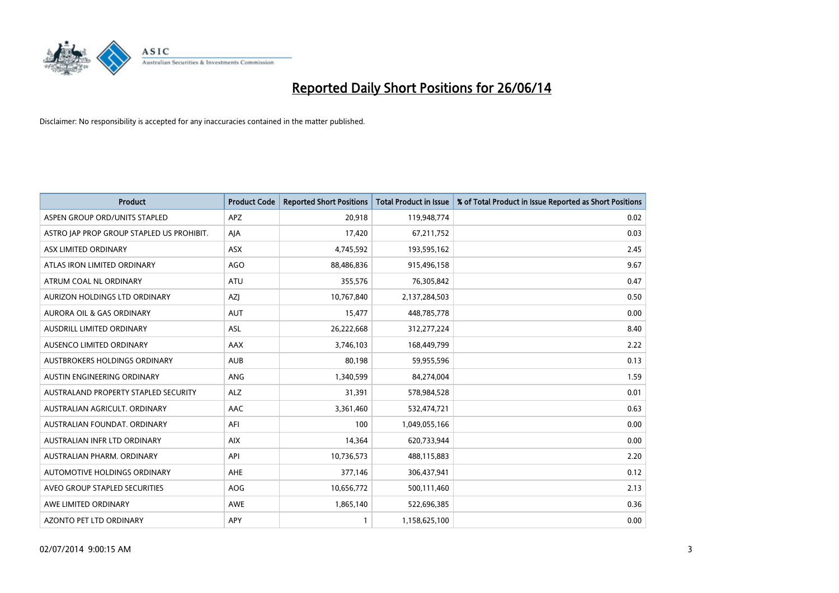

| <b>Product</b>                            | <b>Product Code</b> | <b>Reported Short Positions</b> | Total Product in Issue | % of Total Product in Issue Reported as Short Positions |
|-------------------------------------------|---------------------|---------------------------------|------------------------|---------------------------------------------------------|
| ASPEN GROUP ORD/UNITS STAPLED             | APZ                 | 20,918                          | 119,948,774            | 0.02                                                    |
| ASTRO JAP PROP GROUP STAPLED US PROHIBIT. | AJA                 | 17,420                          | 67,211,752             | 0.03                                                    |
| ASX LIMITED ORDINARY                      | ASX                 | 4,745,592                       | 193,595,162            | 2.45                                                    |
| ATLAS IRON LIMITED ORDINARY               | AGO                 | 88,486,836                      | 915,496,158            | 9.67                                                    |
| ATRUM COAL NL ORDINARY                    | <b>ATU</b>          | 355,576                         | 76,305,842             | 0.47                                                    |
| AURIZON HOLDINGS LTD ORDINARY             | AZJ                 | 10,767,840                      | 2,137,284,503          | 0.50                                                    |
| AURORA OIL & GAS ORDINARY                 | <b>AUT</b>          | 15,477                          | 448,785,778            | 0.00                                                    |
| AUSDRILL LIMITED ORDINARY                 | ASL                 | 26,222,668                      | 312,277,224            | 8.40                                                    |
| AUSENCO LIMITED ORDINARY                  | AAX                 | 3,746,103                       | 168,449,799            | 2.22                                                    |
| AUSTBROKERS HOLDINGS ORDINARY             | <b>AUB</b>          | 80,198                          | 59,955,596             | 0.13                                                    |
| AUSTIN ENGINEERING ORDINARY               | ANG                 | 1,340,599                       | 84,274,004             | 1.59                                                    |
| AUSTRALAND PROPERTY STAPLED SECURITY      | <b>ALZ</b>          | 31,391                          | 578,984,528            | 0.01                                                    |
| AUSTRALIAN AGRICULT. ORDINARY             | AAC                 | 3,361,460                       | 532,474,721            | 0.63                                                    |
| AUSTRALIAN FOUNDAT, ORDINARY              | AFI                 | 100                             | 1,049,055,166          | 0.00                                                    |
| AUSTRALIAN INFR LTD ORDINARY              | <b>AIX</b>          | 14,364                          | 620,733,944            | 0.00                                                    |
| AUSTRALIAN PHARM, ORDINARY                | API                 | 10,736,573                      | 488,115,883            | 2.20                                                    |
| AUTOMOTIVE HOLDINGS ORDINARY              | AHE                 | 377,146                         | 306,437,941            | 0.12                                                    |
| AVEO GROUP STAPLED SECURITIES             | <b>AOG</b>          | 10,656,772                      | 500,111,460            | 2.13                                                    |
| AWE LIMITED ORDINARY                      | AWE                 | 1,865,140                       | 522,696,385            | 0.36                                                    |
| AZONTO PET LTD ORDINARY                   | APY                 |                                 | 1,158,625,100          | 0.00                                                    |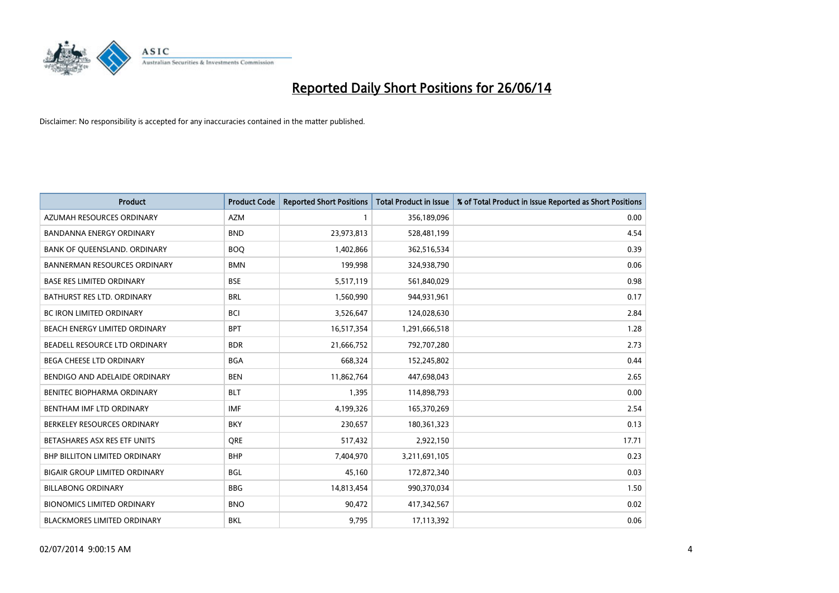

| <b>Product</b>                       | <b>Product Code</b> | <b>Reported Short Positions</b> | <b>Total Product in Issue</b> | % of Total Product in Issue Reported as Short Positions |
|--------------------------------------|---------------------|---------------------------------|-------------------------------|---------------------------------------------------------|
| AZUMAH RESOURCES ORDINARY            | <b>AZM</b>          | 1                               | 356,189,096                   | 0.00                                                    |
| <b>BANDANNA ENERGY ORDINARY</b>      | <b>BND</b>          | 23,973,813                      | 528,481,199                   | 4.54                                                    |
| BANK OF QUEENSLAND. ORDINARY         | <b>BOQ</b>          | 1,402,866                       | 362,516,534                   | 0.39                                                    |
| <b>BANNERMAN RESOURCES ORDINARY</b>  | <b>BMN</b>          | 199,998                         | 324,938,790                   | 0.06                                                    |
| <b>BASE RES LIMITED ORDINARY</b>     | <b>BSE</b>          | 5,517,119                       | 561,840,029                   | 0.98                                                    |
| BATHURST RES LTD. ORDINARY           | <b>BRL</b>          | 1,560,990                       | 944,931,961                   | 0.17                                                    |
| <b>BC IRON LIMITED ORDINARY</b>      | <b>BCI</b>          | 3,526,647                       | 124,028,630                   | 2.84                                                    |
| BEACH ENERGY LIMITED ORDINARY        | <b>BPT</b>          | 16,517,354                      | 1,291,666,518                 | 1.28                                                    |
| BEADELL RESOURCE LTD ORDINARY        | <b>BDR</b>          | 21,666,752                      | 792,707,280                   | 2.73                                                    |
| <b>BEGA CHEESE LTD ORDINARY</b>      | <b>BGA</b>          | 668,324                         | 152,245,802                   | 0.44                                                    |
| BENDIGO AND ADELAIDE ORDINARY        | <b>BEN</b>          | 11,862,764                      | 447,698,043                   | 2.65                                                    |
| BENITEC BIOPHARMA ORDINARY           | <b>BLT</b>          | 1,395                           | 114,898,793                   | 0.00                                                    |
| BENTHAM IMF LTD ORDINARY             | <b>IMF</b>          | 4,199,326                       | 165,370,269                   | 2.54                                                    |
| BERKELEY RESOURCES ORDINARY          | <b>BKY</b>          | 230,657                         | 180,361,323                   | 0.13                                                    |
| BETASHARES ASX RES ETF UNITS         | <b>ORE</b>          | 517,432                         | 2,922,150                     | 17.71                                                   |
| <b>BHP BILLITON LIMITED ORDINARY</b> | <b>BHP</b>          | 7,404,970                       | 3,211,691,105                 | 0.23                                                    |
| <b>BIGAIR GROUP LIMITED ORDINARY</b> | <b>BGL</b>          | 45,160                          | 172,872,340                   | 0.03                                                    |
| <b>BILLABONG ORDINARY</b>            | <b>BBG</b>          | 14,813,454                      | 990,370,034                   | 1.50                                                    |
| <b>BIONOMICS LIMITED ORDINARY</b>    | <b>BNO</b>          | 90,472                          | 417,342,567                   | 0.02                                                    |
| <b>BLACKMORES LIMITED ORDINARY</b>   | <b>BKL</b>          | 9,795                           | 17,113,392                    | 0.06                                                    |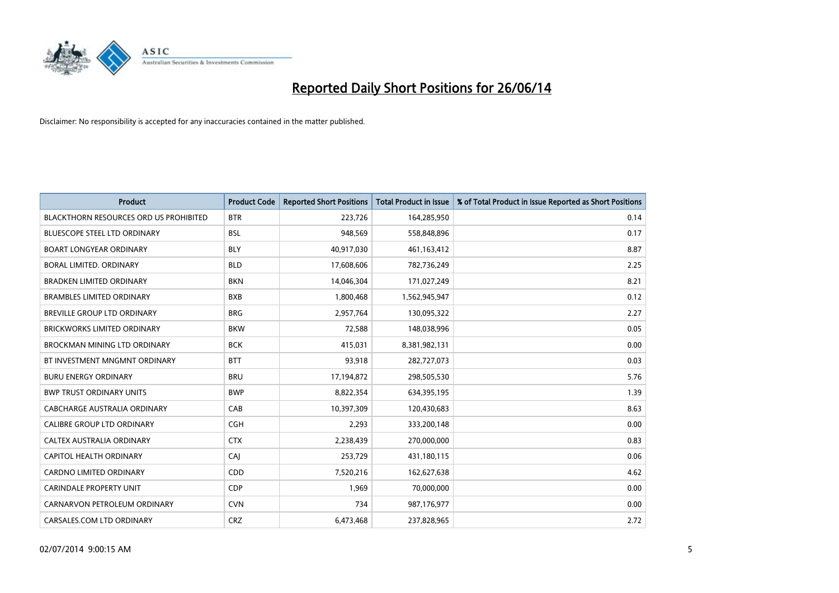

| <b>Product</b>                                | <b>Product Code</b> | <b>Reported Short Positions</b> | <b>Total Product in Issue</b> | % of Total Product in Issue Reported as Short Positions |
|-----------------------------------------------|---------------------|---------------------------------|-------------------------------|---------------------------------------------------------|
| <b>BLACKTHORN RESOURCES ORD US PROHIBITED</b> | <b>BTR</b>          | 223,726                         | 164,285,950                   | 0.14                                                    |
| <b>BLUESCOPE STEEL LTD ORDINARY</b>           | <b>BSL</b>          | 948,569                         | 558,848,896                   | 0.17                                                    |
| <b>BOART LONGYEAR ORDINARY</b>                | <b>BLY</b>          | 40,917,030                      | 461,163,412                   | 8.87                                                    |
| BORAL LIMITED. ORDINARY                       | <b>BLD</b>          | 17,608,606                      | 782,736,249                   | 2.25                                                    |
| <b>BRADKEN LIMITED ORDINARY</b>               | <b>BKN</b>          | 14,046,304                      | 171,027,249                   | 8.21                                                    |
| <b>BRAMBLES LIMITED ORDINARY</b>              | <b>BXB</b>          | 1,800,468                       | 1,562,945,947                 | 0.12                                                    |
| BREVILLE GROUP LTD ORDINARY                   | <b>BRG</b>          | 2,957,764                       | 130,095,322                   | 2.27                                                    |
| <b>BRICKWORKS LIMITED ORDINARY</b>            | <b>BKW</b>          | 72,588                          | 148,038,996                   | 0.05                                                    |
| BROCKMAN MINING LTD ORDINARY                  | <b>BCK</b>          | 415,031                         | 8,381,982,131                 | 0.00                                                    |
| BT INVESTMENT MNGMNT ORDINARY                 | <b>BTT</b>          | 93,918                          | 282,727,073                   | 0.03                                                    |
| <b>BURU ENERGY ORDINARY</b>                   | <b>BRU</b>          | 17,194,872                      | 298,505,530                   | 5.76                                                    |
| <b>BWP TRUST ORDINARY UNITS</b>               | <b>BWP</b>          | 8,822,354                       | 634,395,195                   | 1.39                                                    |
| CABCHARGE AUSTRALIA ORDINARY                  | CAB                 | 10,397,309                      | 120,430,683                   | 8.63                                                    |
| <b>CALIBRE GROUP LTD ORDINARY</b>             | <b>CGH</b>          | 2,293                           | 333,200,148                   | 0.00                                                    |
| CALTEX AUSTRALIA ORDINARY                     | <b>CTX</b>          | 2,238,439                       | 270,000,000                   | 0.83                                                    |
| CAPITOL HEALTH ORDINARY                       | CAI                 | 253,729                         | 431,180,115                   | 0.06                                                    |
| CARDNO LIMITED ORDINARY                       | CDD                 | 7,520,216                       | 162,627,638                   | 4.62                                                    |
| <b>CARINDALE PROPERTY UNIT</b>                | <b>CDP</b>          | 1,969                           | 70,000,000                    | 0.00                                                    |
| CARNARVON PETROLEUM ORDINARY                  | <b>CVN</b>          | 734                             | 987,176,977                   | 0.00                                                    |
| CARSALES.COM LTD ORDINARY                     | <b>CRZ</b>          | 6,473,468                       | 237,828,965                   | 2.72                                                    |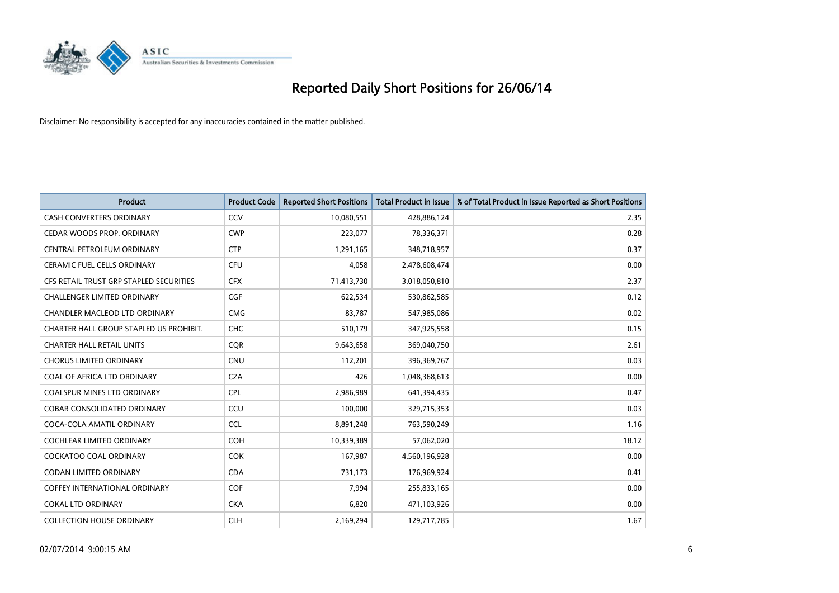

| <b>Product</b>                          | <b>Product Code</b> | <b>Reported Short Positions</b> | <b>Total Product in Issue</b> | % of Total Product in Issue Reported as Short Positions |
|-----------------------------------------|---------------------|---------------------------------|-------------------------------|---------------------------------------------------------|
| <b>CASH CONVERTERS ORDINARY</b>         | CCV                 | 10,080,551                      | 428,886,124                   | 2.35                                                    |
| CEDAR WOODS PROP. ORDINARY              | <b>CWP</b>          | 223,077                         | 78,336,371                    | 0.28                                                    |
| CENTRAL PETROLEUM ORDINARY              | <b>CTP</b>          | 1,291,165                       | 348,718,957                   | 0.37                                                    |
| CERAMIC FUEL CELLS ORDINARY             | <b>CFU</b>          | 4,058                           | 2,478,608,474                 | 0.00                                                    |
| CFS RETAIL TRUST GRP STAPLED SECURITIES | <b>CFX</b>          | 71,413,730                      | 3,018,050,810                 | 2.37                                                    |
| <b>CHALLENGER LIMITED ORDINARY</b>      | <b>CGF</b>          | 622,534                         | 530,862,585                   | 0.12                                                    |
| CHANDLER MACLEOD LTD ORDINARY           | <b>CMG</b>          | 83,787                          | 547,985,086                   | 0.02                                                    |
| CHARTER HALL GROUP STAPLED US PROHIBIT. | <b>CHC</b>          | 510,179                         | 347,925,558                   | 0.15                                                    |
| <b>CHARTER HALL RETAIL UNITS</b>        | <b>CQR</b>          | 9,643,658                       | 369,040,750                   | 2.61                                                    |
| <b>CHORUS LIMITED ORDINARY</b>          | CNU                 | 112,201                         | 396,369,767                   | 0.03                                                    |
| COAL OF AFRICA LTD ORDINARY             | <b>CZA</b>          | 426                             | 1,048,368,613                 | 0.00                                                    |
| <b>COALSPUR MINES LTD ORDINARY</b>      | <b>CPL</b>          | 2,986,989                       | 641,394,435                   | 0.47                                                    |
| <b>COBAR CONSOLIDATED ORDINARY</b>      | CCU                 | 100,000                         | 329,715,353                   | 0.03                                                    |
| COCA-COLA AMATIL ORDINARY               | <b>CCL</b>          | 8,891,248                       | 763,590,249                   | 1.16                                                    |
| <b>COCHLEAR LIMITED ORDINARY</b>        | COH                 | 10,339,389                      | 57,062,020                    | 18.12                                                   |
| COCKATOO COAL ORDINARY                  | <b>COK</b>          | 167,987                         | 4,560,196,928                 | 0.00                                                    |
| CODAN LIMITED ORDINARY                  | <b>CDA</b>          | 731,173                         | 176,969,924                   | 0.41                                                    |
| <b>COFFEY INTERNATIONAL ORDINARY</b>    | <b>COF</b>          | 7,994                           | 255,833,165                   | 0.00                                                    |
| COKAL LTD ORDINARY                      | <b>CKA</b>          | 6,820                           | 471,103,926                   | 0.00                                                    |
| <b>COLLECTION HOUSE ORDINARY</b>        | <b>CLH</b>          | 2,169,294                       | 129,717,785                   | 1.67                                                    |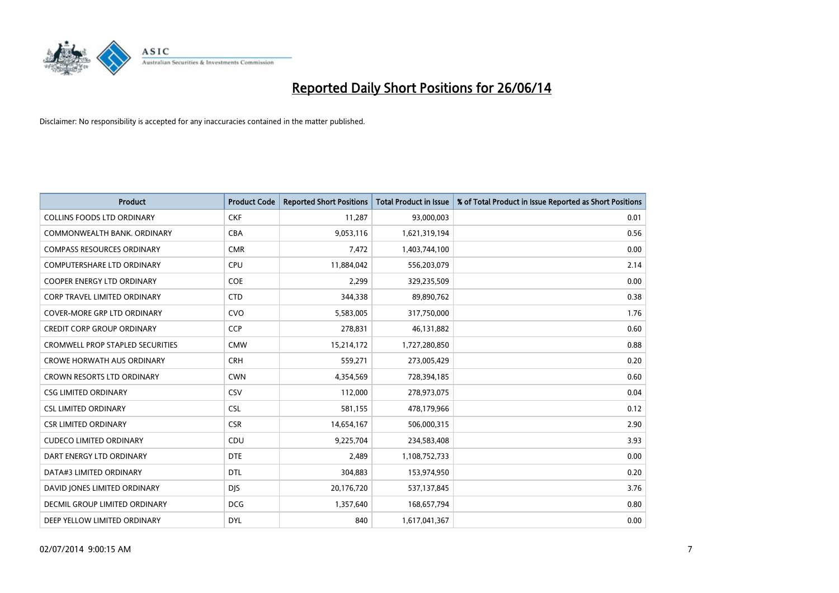

| <b>Product</b>                          | <b>Product Code</b> | <b>Reported Short Positions</b> | <b>Total Product in Issue</b> | % of Total Product in Issue Reported as Short Positions |
|-----------------------------------------|---------------------|---------------------------------|-------------------------------|---------------------------------------------------------|
| <b>COLLINS FOODS LTD ORDINARY</b>       | <b>CKF</b>          | 11,287                          | 93,000,003                    | 0.01                                                    |
| COMMONWEALTH BANK, ORDINARY             | <b>CBA</b>          | 9,053,116                       | 1,621,319,194                 | 0.56                                                    |
| COMPASS RESOURCES ORDINARY              | <b>CMR</b>          | 7,472                           | 1,403,744,100                 | 0.00                                                    |
| COMPUTERSHARE LTD ORDINARY              | <b>CPU</b>          | 11,884,042                      | 556,203,079                   | 2.14                                                    |
| <b>COOPER ENERGY LTD ORDINARY</b>       | <b>COE</b>          | 2,299                           | 329,235,509                   | 0.00                                                    |
| CORP TRAVEL LIMITED ORDINARY            | <b>CTD</b>          | 344,338                         | 89,890,762                    | 0.38                                                    |
| COVER-MORE GRP LTD ORDINARY             | <b>CVO</b>          | 5,583,005                       | 317,750,000                   | 1.76                                                    |
| <b>CREDIT CORP GROUP ORDINARY</b>       | <b>CCP</b>          | 278,831                         | 46,131,882                    | 0.60                                                    |
| <b>CROMWELL PROP STAPLED SECURITIES</b> | <b>CMW</b>          | 15,214,172                      | 1,727,280,850                 | 0.88                                                    |
| <b>CROWE HORWATH AUS ORDINARY</b>       | <b>CRH</b>          | 559,271                         | 273,005,429                   | 0.20                                                    |
| CROWN RESORTS LTD ORDINARY              | <b>CWN</b>          | 4,354,569                       | 728,394,185                   | 0.60                                                    |
| <b>CSG LIMITED ORDINARY</b>             | <b>CSV</b>          | 112,000                         | 278,973,075                   | 0.04                                                    |
| <b>CSL LIMITED ORDINARY</b>             | <b>CSL</b>          | 581,155                         | 478,179,966                   | 0.12                                                    |
| <b>CSR LIMITED ORDINARY</b>             | <b>CSR</b>          | 14,654,167                      | 506,000,315                   | 2.90                                                    |
| <b>CUDECO LIMITED ORDINARY</b>          | CDU                 | 9,225,704                       | 234,583,408                   | 3.93                                                    |
| DART ENERGY LTD ORDINARY                | <b>DTE</b>          | 2,489                           | 1,108,752,733                 | 0.00                                                    |
| DATA#3 LIMITED ORDINARY                 | <b>DTL</b>          | 304,883                         | 153,974,950                   | 0.20                                                    |
| DAVID JONES LIMITED ORDINARY            | <b>DJS</b>          | 20,176,720                      | 537,137,845                   | 3.76                                                    |
| DECMIL GROUP LIMITED ORDINARY           | <b>DCG</b>          | 1,357,640                       | 168,657,794                   | 0.80                                                    |
| DEEP YELLOW LIMITED ORDINARY            | <b>DYL</b>          | 840                             | 1,617,041,367                 | 0.00                                                    |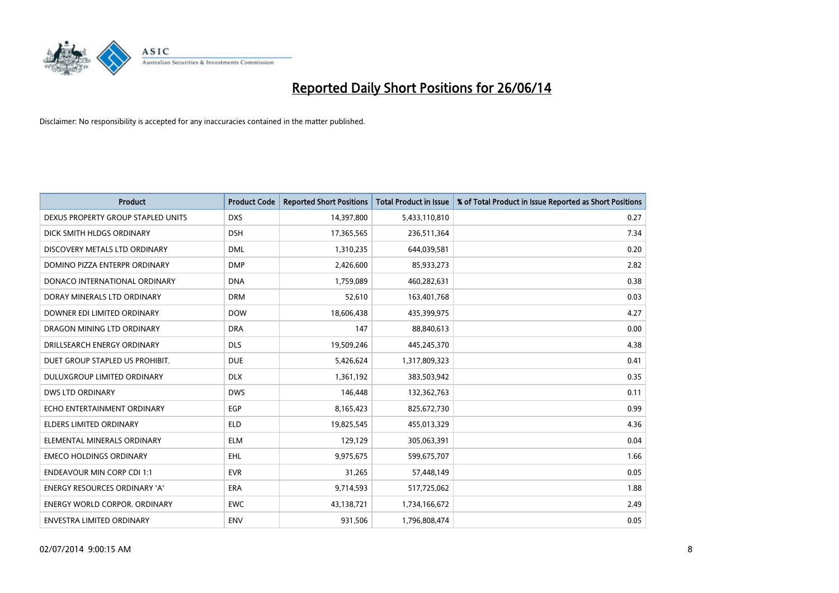

| <b>Product</b>                       | <b>Product Code</b> | <b>Reported Short Positions</b> | <b>Total Product in Issue</b> | % of Total Product in Issue Reported as Short Positions |
|--------------------------------------|---------------------|---------------------------------|-------------------------------|---------------------------------------------------------|
| DEXUS PROPERTY GROUP STAPLED UNITS   | <b>DXS</b>          | 14,397,800                      | 5,433,110,810                 | 0.27                                                    |
| DICK SMITH HLDGS ORDINARY            | <b>DSH</b>          | 17,365,565                      | 236,511,364                   | 7.34                                                    |
| DISCOVERY METALS LTD ORDINARY        | <b>DML</b>          | 1,310,235                       | 644,039,581                   | 0.20                                                    |
| DOMINO PIZZA ENTERPR ORDINARY        | <b>DMP</b>          | 2,426,600                       | 85,933,273                    | 2.82                                                    |
| DONACO INTERNATIONAL ORDINARY        | <b>DNA</b>          | 1,759,089                       | 460,282,631                   | 0.38                                                    |
| DORAY MINERALS LTD ORDINARY          | <b>DRM</b>          | 52,610                          | 163,401,768                   | 0.03                                                    |
| DOWNER EDI LIMITED ORDINARY          | <b>DOW</b>          | 18,606,438                      | 435,399,975                   | 4.27                                                    |
| DRAGON MINING LTD ORDINARY           | <b>DRA</b>          | 147                             | 88,840,613                    | 0.00                                                    |
| DRILLSEARCH ENERGY ORDINARY          | <b>DLS</b>          | 19,509,246                      | 445,245,370                   | 4.38                                                    |
| DUET GROUP STAPLED US PROHIBIT.      | <b>DUE</b>          | 5,426,624                       | 1,317,809,323                 | 0.41                                                    |
| DULUXGROUP LIMITED ORDINARY          | <b>DLX</b>          | 1,361,192                       | 383,503,942                   | 0.35                                                    |
| <b>DWS LTD ORDINARY</b>              | <b>DWS</b>          | 146,448                         | 132,362,763                   | 0.11                                                    |
| ECHO ENTERTAINMENT ORDINARY          | <b>EGP</b>          | 8,165,423                       | 825,672,730                   | 0.99                                                    |
| <b>ELDERS LIMITED ORDINARY</b>       | <b>ELD</b>          | 19,825,545                      | 455,013,329                   | 4.36                                                    |
| ELEMENTAL MINERALS ORDINARY          | <b>ELM</b>          | 129,129                         | 305,063,391                   | 0.04                                                    |
| <b>EMECO HOLDINGS ORDINARY</b>       | <b>EHL</b>          | 9,975,675                       | 599,675,707                   | 1.66                                                    |
| <b>ENDEAVOUR MIN CORP CDI 1:1</b>    | <b>EVR</b>          | 31,265                          | 57,448,149                    | 0.05                                                    |
| ENERGY RESOURCES ORDINARY 'A'        | <b>ERA</b>          | 9,714,593                       | 517,725,062                   | 1.88                                                    |
| <b>ENERGY WORLD CORPOR, ORDINARY</b> | <b>EWC</b>          | 43,138,721                      | 1,734,166,672                 | 2.49                                                    |
| ENVESTRA LIMITED ORDINARY            | ENV                 | 931,506                         | 1,796,808,474                 | 0.05                                                    |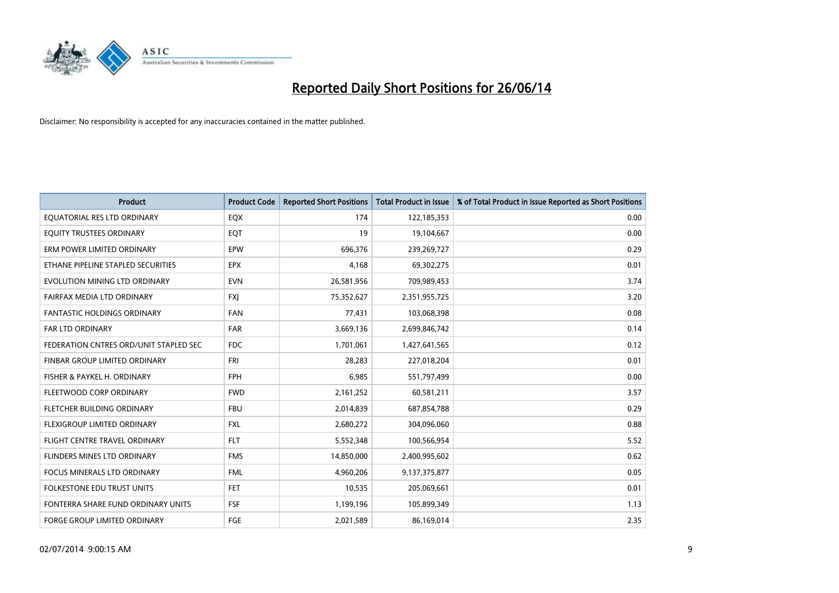

| <b>Product</b>                         | <b>Product Code</b> | <b>Reported Short Positions</b> | <b>Total Product in Issue</b> | % of Total Product in Issue Reported as Short Positions |
|----------------------------------------|---------------------|---------------------------------|-------------------------------|---------------------------------------------------------|
| EQUATORIAL RES LTD ORDINARY            | EQX                 | 174                             | 122,185,353                   | 0.00                                                    |
| EQUITY TRUSTEES ORDINARY               | EQT                 | 19                              | 19,104,667                    | 0.00                                                    |
| ERM POWER LIMITED ORDINARY             | <b>EPW</b>          | 696,376                         | 239,269,727                   | 0.29                                                    |
| ETHANE PIPELINE STAPLED SECURITIES     | <b>EPX</b>          | 4,168                           | 69,302,275                    | 0.01                                                    |
| EVOLUTION MINING LTD ORDINARY          | <b>EVN</b>          | 26,581,956                      | 709,989,453                   | 3.74                                                    |
| FAIRFAX MEDIA LTD ORDINARY             | <b>FXI</b>          | 75,352,627                      | 2,351,955,725                 | 3.20                                                    |
| <b>FANTASTIC HOLDINGS ORDINARY</b>     | <b>FAN</b>          | 77,431                          | 103,068,398                   | 0.08                                                    |
| FAR LTD ORDINARY                       | <b>FAR</b>          | 3,669,136                       | 2,699,846,742                 | 0.14                                                    |
| FEDERATION CNTRES ORD/UNIT STAPLED SEC | <b>FDC</b>          | 1,701,061                       | 1,427,641,565                 | 0.12                                                    |
| FINBAR GROUP LIMITED ORDINARY          | <b>FRI</b>          | 28,283                          | 227,018,204                   | 0.01                                                    |
| FISHER & PAYKEL H. ORDINARY            | <b>FPH</b>          | 6,985                           | 551,797,499                   | 0.00                                                    |
| FLEETWOOD CORP ORDINARY                | <b>FWD</b>          | 2,161,252                       | 60,581,211                    | 3.57                                                    |
| FLETCHER BUILDING ORDINARY             | <b>FBU</b>          | 2,014,839                       | 687,854,788                   | 0.29                                                    |
| FLEXIGROUP LIMITED ORDINARY            | FXL                 | 2,680,272                       | 304,096,060                   | 0.88                                                    |
| FLIGHT CENTRE TRAVEL ORDINARY          | <b>FLT</b>          | 5,552,348                       | 100,566,954                   | 5.52                                                    |
| <b>FLINDERS MINES LTD ORDINARY</b>     | <b>FMS</b>          | 14,850,000                      | 2,400,995,602                 | 0.62                                                    |
| <b>FOCUS MINERALS LTD ORDINARY</b>     | <b>FML</b>          | 4,960,206                       | 9,137,375,877                 | 0.05                                                    |
| FOLKESTONE EDU TRUST UNITS             | <b>FET</b>          | 10,535                          | 205,069,661                   | 0.01                                                    |
| FONTERRA SHARE FUND ORDINARY UNITS     | <b>FSF</b>          | 1,199,196                       | 105,899,349                   | 1.13                                                    |
| <b>FORGE GROUP LIMITED ORDINARY</b>    | FGE                 | 2,021,589                       | 86,169,014                    | 2.35                                                    |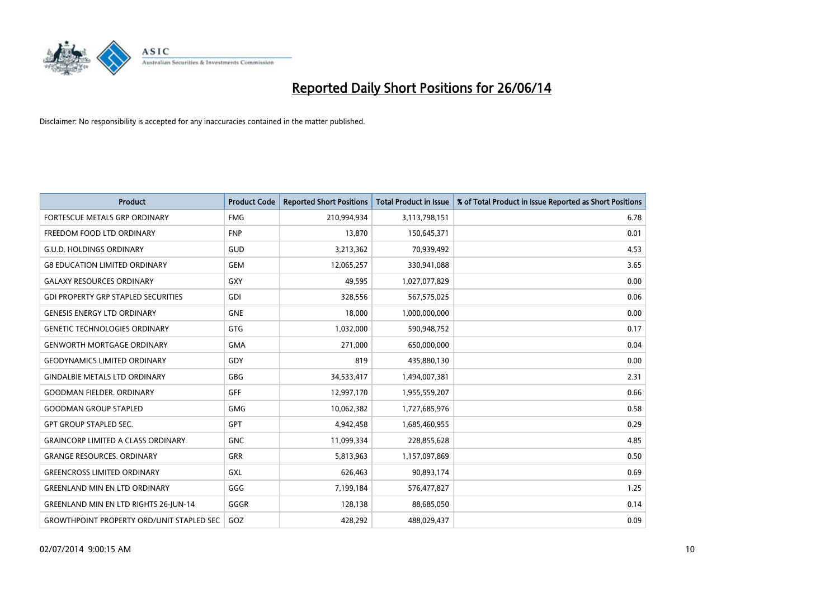

| <b>Product</b>                                   | <b>Product Code</b> | <b>Reported Short Positions</b> | <b>Total Product in Issue</b> | % of Total Product in Issue Reported as Short Positions |
|--------------------------------------------------|---------------------|---------------------------------|-------------------------------|---------------------------------------------------------|
| FORTESCUE METALS GRP ORDINARY                    | <b>FMG</b>          | 210,994,934                     | 3,113,798,151                 | 6.78                                                    |
| FREEDOM FOOD LTD ORDINARY                        | <b>FNP</b>          | 13,870                          | 150,645,371                   | 0.01                                                    |
| <b>G.U.D. HOLDINGS ORDINARY</b>                  | GUD                 | 3,213,362                       | 70,939,492                    | 4.53                                                    |
| <b>G8 EDUCATION LIMITED ORDINARY</b>             | <b>GEM</b>          | 12,065,257                      | 330,941,088                   | 3.65                                                    |
| <b>GALAXY RESOURCES ORDINARY</b>                 | GXY                 | 49,595                          | 1,027,077,829                 | 0.00                                                    |
| <b>GDI PROPERTY GRP STAPLED SECURITIES</b>       | <b>GDI</b>          | 328,556                         | 567,575,025                   | 0.06                                                    |
| <b>GENESIS ENERGY LTD ORDINARY</b>               | <b>GNE</b>          | 18,000                          | 1,000,000,000                 | 0.00                                                    |
| <b>GENETIC TECHNOLOGIES ORDINARY</b>             | <b>GTG</b>          | 1,032,000                       | 590,948,752                   | 0.17                                                    |
| <b>GENWORTH MORTGAGE ORDINARY</b>                | <b>GMA</b>          | 271,000                         | 650,000,000                   | 0.04                                                    |
| <b>GEODYNAMICS LIMITED ORDINARY</b>              | GDY                 | 819                             | 435,880,130                   | 0.00                                                    |
| <b>GINDALBIE METALS LTD ORDINARY</b>             | GBG                 | 34,533,417                      | 1,494,007,381                 | 2.31                                                    |
| <b>GOODMAN FIELDER, ORDINARY</b>                 | GFF                 | 12,997,170                      | 1,955,559,207                 | 0.66                                                    |
| <b>GOODMAN GROUP STAPLED</b>                     | <b>GMG</b>          | 10,062,382                      | 1,727,685,976                 | 0.58                                                    |
| <b>GPT GROUP STAPLED SEC.</b>                    | GPT                 | 4,942,458                       | 1,685,460,955                 | 0.29                                                    |
| <b>GRAINCORP LIMITED A CLASS ORDINARY</b>        | <b>GNC</b>          | 11,099,334                      | 228,855,628                   | 4.85                                                    |
| <b>GRANGE RESOURCES, ORDINARY</b>                | <b>GRR</b>          | 5,813,963                       | 1,157,097,869                 | 0.50                                                    |
| <b>GREENCROSS LIMITED ORDINARY</b>               | GXL                 | 626,463                         | 90,893,174                    | 0.69                                                    |
| <b>GREENLAND MIN EN LTD ORDINARY</b>             | GGG                 | 7,199,184                       | 576,477,827                   | 1.25                                                    |
| <b>GREENLAND MIN EN LTD RIGHTS 26-JUN-14</b>     | GGGR                | 128,138                         | 88,685,050                    | 0.14                                                    |
| <b>GROWTHPOINT PROPERTY ORD/UNIT STAPLED SEC</b> | GOZ                 | 428,292                         | 488,029,437                   | 0.09                                                    |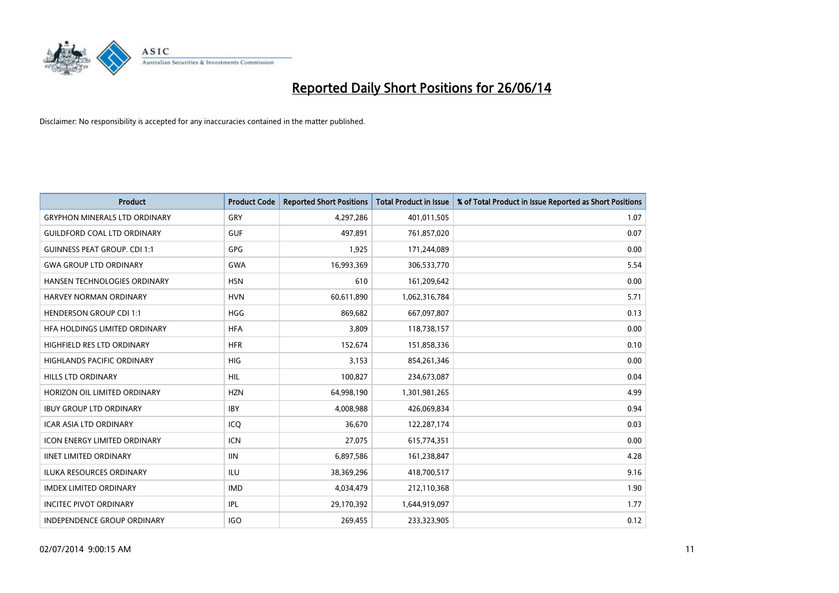

| <b>Product</b>                       | <b>Product Code</b> | <b>Reported Short Positions</b> | <b>Total Product in Issue</b> | % of Total Product in Issue Reported as Short Positions |
|--------------------------------------|---------------------|---------------------------------|-------------------------------|---------------------------------------------------------|
| <b>GRYPHON MINERALS LTD ORDINARY</b> | GRY                 | 4,297,286                       | 401,011,505                   | 1.07                                                    |
| <b>GUILDFORD COAL LTD ORDINARY</b>   | <b>GUF</b>          | 497,891                         | 761,857,020                   | 0.07                                                    |
| <b>GUINNESS PEAT GROUP. CDI 1:1</b>  | <b>GPG</b>          | 1,925                           | 171,244,089                   | 0.00                                                    |
| <b>GWA GROUP LTD ORDINARY</b>        | <b>GWA</b>          | 16,993,369                      | 306,533,770                   | 5.54                                                    |
| HANSEN TECHNOLOGIES ORDINARY         | <b>HSN</b>          | 610                             | 161,209,642                   | 0.00                                                    |
| <b>HARVEY NORMAN ORDINARY</b>        | <b>HVN</b>          | 60,611,890                      | 1,062,316,784                 | 5.71                                                    |
| <b>HENDERSON GROUP CDI 1:1</b>       | <b>HGG</b>          | 869,682                         | 667,097,807                   | 0.13                                                    |
| HFA HOLDINGS LIMITED ORDINARY        | <b>HFA</b>          | 3,809                           | 118,738,157                   | 0.00                                                    |
| HIGHFIELD RES LTD ORDINARY           | <b>HFR</b>          | 152,674                         | 151,858,336                   | 0.10                                                    |
| <b>HIGHLANDS PACIFIC ORDINARY</b>    | <b>HIG</b>          | 3,153                           | 854,261,346                   | 0.00                                                    |
| <b>HILLS LTD ORDINARY</b>            | <b>HIL</b>          | 100,827                         | 234,673,087                   | 0.04                                                    |
| HORIZON OIL LIMITED ORDINARY         | <b>HZN</b>          | 64,998,190                      | 1,301,981,265                 | 4.99                                                    |
| <b>IBUY GROUP LTD ORDINARY</b>       | <b>IBY</b>          | 4,008,988                       | 426,069,834                   | 0.94                                                    |
| <b>ICAR ASIA LTD ORDINARY</b>        | ICO                 | 36,670                          | 122,287,174                   | 0.03                                                    |
| <b>ICON ENERGY LIMITED ORDINARY</b>  | <b>ICN</b>          | 27,075                          | 615,774,351                   | 0.00                                                    |
| <b>IINET LIMITED ORDINARY</b>        | <b>IIN</b>          | 6,897,586                       | 161,238,847                   | 4.28                                                    |
| <b>ILUKA RESOURCES ORDINARY</b>      | ILU                 | 38,369,296                      | 418,700,517                   | 9.16                                                    |
| <b>IMDEX LIMITED ORDINARY</b>        | <b>IMD</b>          | 4,034,479                       | 212,110,368                   | 1.90                                                    |
| <b>INCITEC PIVOT ORDINARY</b>        | IPL                 | 29,170,392                      | 1,644,919,097                 | 1.77                                                    |
| <b>INDEPENDENCE GROUP ORDINARY</b>   | <b>IGO</b>          | 269,455                         | 233,323,905                   | 0.12                                                    |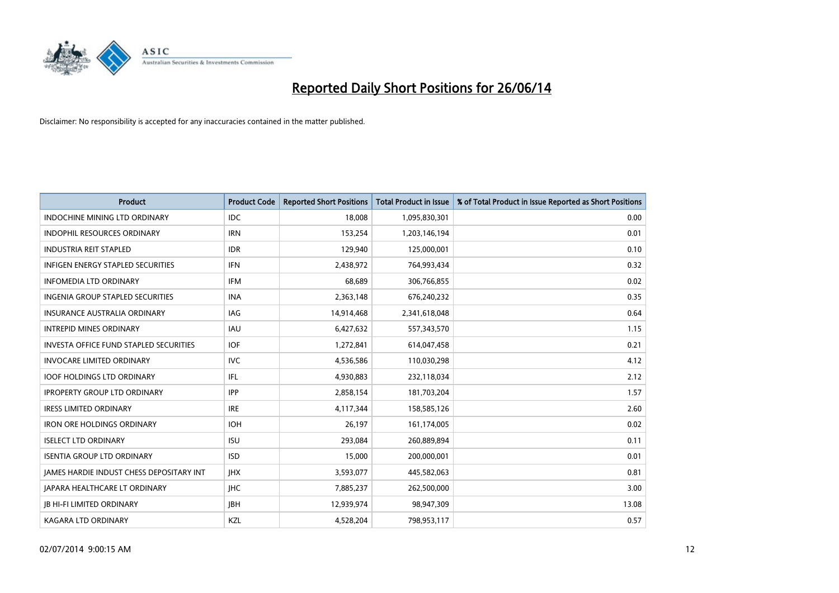

| <b>Product</b>                                  | <b>Product Code</b> | <b>Reported Short Positions</b> | <b>Total Product in Issue</b> | % of Total Product in Issue Reported as Short Positions |
|-------------------------------------------------|---------------------|---------------------------------|-------------------------------|---------------------------------------------------------|
| <b>INDOCHINE MINING LTD ORDINARY</b>            | <b>IDC</b>          | 18,008                          | 1,095,830,301                 | 0.00                                                    |
| INDOPHIL RESOURCES ORDINARY                     | <b>IRN</b>          | 153,254                         | 1,203,146,194                 | 0.01                                                    |
| <b>INDUSTRIA REIT STAPLED</b>                   | <b>IDR</b>          | 129,940                         | 125,000,001                   | 0.10                                                    |
| INFIGEN ENERGY STAPLED SECURITIES               | <b>IFN</b>          | 2,438,972                       | 764,993,434                   | 0.32                                                    |
| <b>INFOMEDIA LTD ORDINARY</b>                   | <b>IFM</b>          | 68,689                          | 306,766,855                   | 0.02                                                    |
| <b>INGENIA GROUP STAPLED SECURITIES</b>         | <b>INA</b>          | 2,363,148                       | 676,240,232                   | 0.35                                                    |
| <b>INSURANCE AUSTRALIA ORDINARY</b>             | IAG                 | 14,914,468                      | 2,341,618,048                 | 0.64                                                    |
| <b>INTREPID MINES ORDINARY</b>                  | <b>IAU</b>          | 6,427,632                       | 557,343,570                   | 1.15                                                    |
| <b>INVESTA OFFICE FUND STAPLED SECURITIES</b>   | <b>IOF</b>          | 1,272,841                       | 614,047,458                   | 0.21                                                    |
| <b>INVOCARE LIMITED ORDINARY</b>                | <b>IVC</b>          | 4,536,586                       | 110,030,298                   | 4.12                                                    |
| <b>IOOF HOLDINGS LTD ORDINARY</b>               | IFL                 | 4,930,883                       | 232,118,034                   | 2.12                                                    |
| <b>IPROPERTY GROUP LTD ORDINARY</b>             | <b>IPP</b>          | 2,858,154                       | 181,703,204                   | 1.57                                                    |
| <b>IRESS LIMITED ORDINARY</b>                   | <b>IRE</b>          | 4,117,344                       | 158,585,126                   | 2.60                                                    |
| <b>IRON ORE HOLDINGS ORDINARY</b>               | <b>IOH</b>          | 26,197                          | 161,174,005                   | 0.02                                                    |
| <b>ISELECT LTD ORDINARY</b>                     | <b>ISU</b>          | 293,084                         | 260,889,894                   | 0.11                                                    |
| <b>ISENTIA GROUP LTD ORDINARY</b>               | <b>ISD</b>          | 15,000                          | 200,000,001                   | 0.01                                                    |
| <b>JAMES HARDIE INDUST CHESS DEPOSITARY INT</b> | <b>IHX</b>          | 3,593,077                       | 445,582,063                   | 0.81                                                    |
| JAPARA HEALTHCARE LT ORDINARY                   | <b>IHC</b>          | 7,885,237                       | 262,500,000                   | 3.00                                                    |
| <b>JB HI-FI LIMITED ORDINARY</b>                | <b>IBH</b>          | 12,939,974                      | 98,947,309                    | 13.08                                                   |
| <b>KAGARA LTD ORDINARY</b>                      | KZL                 | 4,528,204                       | 798,953,117                   | 0.57                                                    |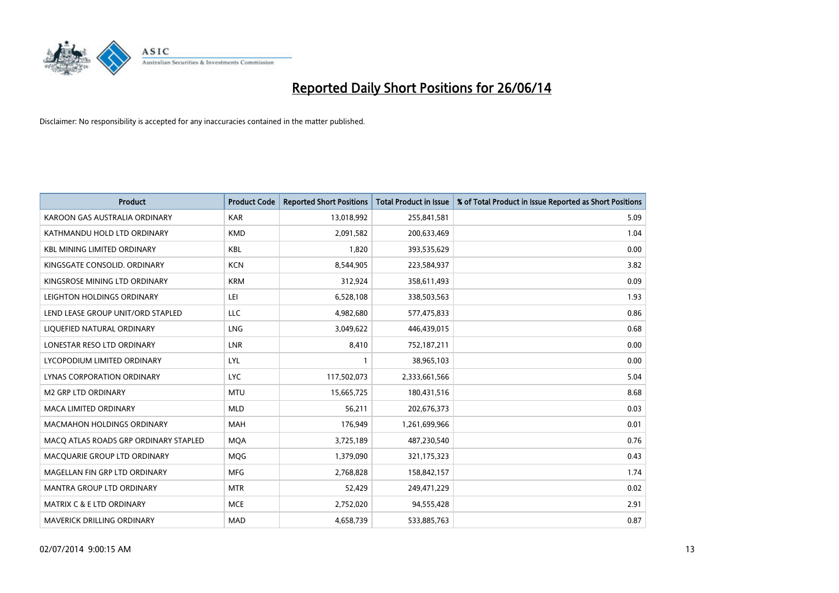

| <b>Product</b>                        | <b>Product Code</b> | <b>Reported Short Positions</b> | <b>Total Product in Issue</b> | % of Total Product in Issue Reported as Short Positions |
|---------------------------------------|---------------------|---------------------------------|-------------------------------|---------------------------------------------------------|
| KAROON GAS AUSTRALIA ORDINARY         | <b>KAR</b>          | 13,018,992                      | 255,841,581                   | 5.09                                                    |
| KATHMANDU HOLD LTD ORDINARY           | <b>KMD</b>          | 2,091,582                       | 200,633,469                   | 1.04                                                    |
| <b>KBL MINING LIMITED ORDINARY</b>    | <b>KBL</b>          | 1,820                           | 393,535,629                   | 0.00                                                    |
| KINGSGATE CONSOLID. ORDINARY          | <b>KCN</b>          | 8,544,905                       | 223,584,937                   | 3.82                                                    |
| KINGSROSE MINING LTD ORDINARY         | <b>KRM</b>          | 312,924                         | 358,611,493                   | 0.09                                                    |
| LEIGHTON HOLDINGS ORDINARY            | LEI                 | 6,528,108                       | 338,503,563                   | 1.93                                                    |
| LEND LEASE GROUP UNIT/ORD STAPLED     | LLC                 | 4,982,680                       | 577,475,833                   | 0.86                                                    |
| LIQUEFIED NATURAL ORDINARY            | LNG                 | 3,049,622                       | 446,439,015                   | 0.68                                                    |
| LONESTAR RESO LTD ORDINARY            | <b>LNR</b>          | 8,410                           | 752,187,211                   | 0.00                                                    |
| LYCOPODIUM LIMITED ORDINARY           | LYL                 | 1                               | 38,965,103                    | 0.00                                                    |
| LYNAS CORPORATION ORDINARY            | <b>LYC</b>          | 117,502,073                     | 2,333,661,566                 | 5.04                                                    |
| <b>M2 GRP LTD ORDINARY</b>            | <b>MTU</b>          | 15,665,725                      | 180,431,516                   | 8.68                                                    |
| <b>MACA LIMITED ORDINARY</b>          | <b>MLD</b>          | 56,211                          | 202,676,373                   | 0.03                                                    |
| <b>MACMAHON HOLDINGS ORDINARY</b>     | MAH                 | 176,949                         | 1,261,699,966                 | 0.01                                                    |
| MACO ATLAS ROADS GRP ORDINARY STAPLED | <b>MQA</b>          | 3,725,189                       | 487,230,540                   | 0.76                                                    |
| MACQUARIE GROUP LTD ORDINARY          | <b>MOG</b>          | 1,379,090                       | 321,175,323                   | 0.43                                                    |
| MAGELLAN FIN GRP LTD ORDINARY         | <b>MFG</b>          | 2,768,828                       | 158,842,157                   | 1.74                                                    |
| MANTRA GROUP LTD ORDINARY             | <b>MTR</b>          | 52,429                          | 249,471,229                   | 0.02                                                    |
| MATRIX C & E LTD ORDINARY             | <b>MCE</b>          | 2,752,020                       | 94,555,428                    | 2.91                                                    |
| MAVERICK DRILLING ORDINARY            | <b>MAD</b>          | 4,658,739                       | 533,885,763                   | 0.87                                                    |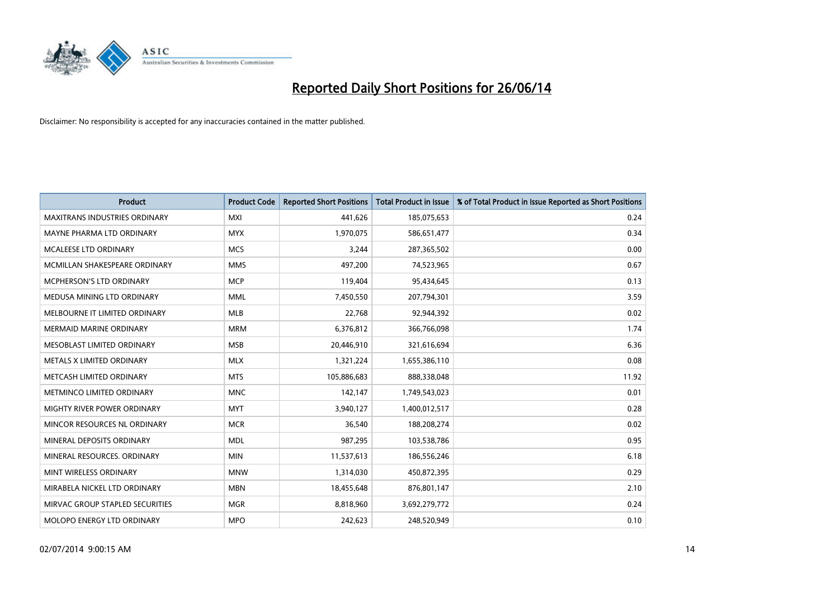

| <b>Product</b>                       | <b>Product Code</b> | <b>Reported Short Positions</b> | <b>Total Product in Issue</b> | % of Total Product in Issue Reported as Short Positions |
|--------------------------------------|---------------------|---------------------------------|-------------------------------|---------------------------------------------------------|
| <b>MAXITRANS INDUSTRIES ORDINARY</b> | <b>MXI</b>          | 441,626                         | 185,075,653                   | 0.24                                                    |
| MAYNE PHARMA LTD ORDINARY            | <b>MYX</b>          | 1,970,075                       | 586,651,477                   | 0.34                                                    |
| MCALEESE LTD ORDINARY                | <b>MCS</b>          | 3,244                           | 287,365,502                   | 0.00                                                    |
| MCMILLAN SHAKESPEARE ORDINARY        | <b>MMS</b>          | 497,200                         | 74,523,965                    | 0.67                                                    |
| <b>MCPHERSON'S LTD ORDINARY</b>      | <b>MCP</b>          | 119,404                         | 95,434,645                    | 0.13                                                    |
| MEDUSA MINING LTD ORDINARY           | <b>MML</b>          | 7,450,550                       | 207,794,301                   | 3.59                                                    |
| MELBOURNE IT LIMITED ORDINARY        | <b>MLB</b>          | 22,768                          | 92,944,392                    | 0.02                                                    |
| <b>MERMAID MARINE ORDINARY</b>       | <b>MRM</b>          | 6,376,812                       | 366,766,098                   | 1.74                                                    |
| MESOBLAST LIMITED ORDINARY           | <b>MSB</b>          | 20,446,910                      | 321,616,694                   | 6.36                                                    |
| METALS X LIMITED ORDINARY            | <b>MLX</b>          | 1,321,224                       | 1,655,386,110                 | 0.08                                                    |
| METCASH LIMITED ORDINARY             | <b>MTS</b>          | 105,886,683                     | 888,338,048                   | 11.92                                                   |
| METMINCO LIMITED ORDINARY            | <b>MNC</b>          | 142,147                         | 1,749,543,023                 | 0.01                                                    |
| MIGHTY RIVER POWER ORDINARY          | <b>MYT</b>          | 3,940,127                       | 1,400,012,517                 | 0.28                                                    |
| MINCOR RESOURCES NL ORDINARY         | <b>MCR</b>          | 36,540                          | 188,208,274                   | 0.02                                                    |
| MINERAL DEPOSITS ORDINARY            | <b>MDL</b>          | 987,295                         | 103,538,786                   | 0.95                                                    |
| MINERAL RESOURCES. ORDINARY          | <b>MIN</b>          | 11,537,613                      | 186,556,246                   | 6.18                                                    |
| MINT WIRELESS ORDINARY               | <b>MNW</b>          | 1,314,030                       | 450,872,395                   | 0.29                                                    |
| MIRABELA NICKEL LTD ORDINARY         | <b>MBN</b>          | 18,455,648                      | 876,801,147                   | 2.10                                                    |
| MIRVAC GROUP STAPLED SECURITIES      | <b>MGR</b>          | 8,818,960                       | 3,692,279,772                 | 0.24                                                    |
| MOLOPO ENERGY LTD ORDINARY           | <b>MPO</b>          | 242,623                         | 248,520,949                   | 0.10                                                    |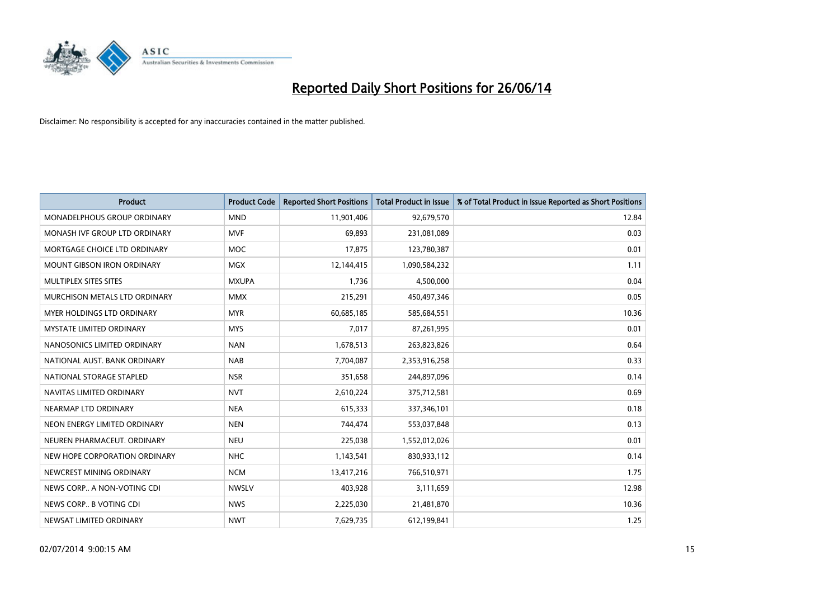

| <b>Product</b>                  | <b>Product Code</b> | <b>Reported Short Positions</b> | <b>Total Product in Issue</b> | % of Total Product in Issue Reported as Short Positions |
|---------------------------------|---------------------|---------------------------------|-------------------------------|---------------------------------------------------------|
| MONADELPHOUS GROUP ORDINARY     | <b>MND</b>          | 11,901,406                      | 92,679,570                    | 12.84                                                   |
| MONASH IVF GROUP LTD ORDINARY   | MVF                 | 69,893                          | 231,081,089                   | 0.03                                                    |
| MORTGAGE CHOICE LTD ORDINARY    | <b>MOC</b>          | 17,875                          | 123,780,387                   | 0.01                                                    |
| MOUNT GIBSON IRON ORDINARY      | MGX                 | 12,144,415                      | 1,090,584,232                 | 1.11                                                    |
| MULTIPLEX SITES SITES           | <b>MXUPA</b>        | 1,736                           | 4,500,000                     | 0.04                                                    |
| MURCHISON METALS LTD ORDINARY   | <b>MMX</b>          | 215,291                         | 450,497,346                   | 0.05                                                    |
| MYER HOLDINGS LTD ORDINARY      | <b>MYR</b>          | 60,685,185                      | 585,684,551                   | 10.36                                                   |
| <b>MYSTATE LIMITED ORDINARY</b> | <b>MYS</b>          | 7,017                           | 87,261,995                    | 0.01                                                    |
| NANOSONICS LIMITED ORDINARY     | <b>NAN</b>          | 1,678,513                       | 263,823,826                   | 0.64                                                    |
| NATIONAL AUST, BANK ORDINARY    | <b>NAB</b>          | 7,704,087                       | 2,353,916,258                 | 0.33                                                    |
| NATIONAL STORAGE STAPLED        | <b>NSR</b>          | 351,658                         | 244,897,096                   | 0.14                                                    |
| NAVITAS LIMITED ORDINARY        | <b>NVT</b>          | 2,610,224                       | 375,712,581                   | 0.69                                                    |
| NEARMAP LTD ORDINARY            | <b>NEA</b>          | 615,333                         | 337,346,101                   | 0.18                                                    |
| NEON ENERGY LIMITED ORDINARY    | <b>NEN</b>          | 744,474                         | 553,037,848                   | 0.13                                                    |
| NEUREN PHARMACEUT, ORDINARY     | <b>NEU</b>          | 225,038                         | 1,552,012,026                 | 0.01                                                    |
| NEW HOPE CORPORATION ORDINARY   | NHC                 | 1,143,541                       | 830,933,112                   | 0.14                                                    |
| NEWCREST MINING ORDINARY        | <b>NCM</b>          | 13,417,216                      | 766,510,971                   | 1.75                                                    |
| NEWS CORP A NON-VOTING CDI      | <b>NWSLV</b>        | 403,928                         | 3,111,659                     | 12.98                                                   |
| NEWS CORP B VOTING CDI          | <b>NWS</b>          | 2,225,030                       | 21,481,870                    | 10.36                                                   |
| NEWSAT LIMITED ORDINARY         | <b>NWT</b>          | 7,629,735                       | 612,199,841                   | 1.25                                                    |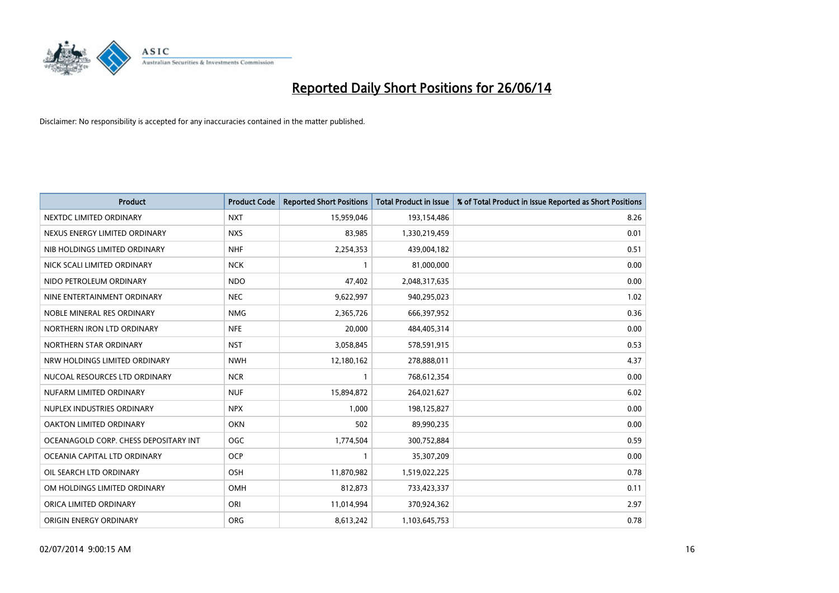

| <b>Product</b>                        | <b>Product Code</b> | <b>Reported Short Positions</b> | <b>Total Product in Issue</b> | % of Total Product in Issue Reported as Short Positions |
|---------------------------------------|---------------------|---------------------------------|-------------------------------|---------------------------------------------------------|
| NEXTDC LIMITED ORDINARY               | <b>NXT</b>          | 15,959,046                      | 193,154,486                   | 8.26                                                    |
| NEXUS ENERGY LIMITED ORDINARY         | <b>NXS</b>          | 83,985                          | 1,330,219,459                 | 0.01                                                    |
| NIB HOLDINGS LIMITED ORDINARY         | <b>NHF</b>          | 2,254,353                       | 439,004,182                   | 0.51                                                    |
| NICK SCALI LIMITED ORDINARY           | <b>NCK</b>          | $\mathbf{1}$                    | 81,000,000                    | 0.00                                                    |
| NIDO PETROLEUM ORDINARY               | <b>NDO</b>          | 47,402                          | 2,048,317,635                 | 0.00                                                    |
| NINE ENTERTAINMENT ORDINARY           | <b>NEC</b>          | 9,622,997                       | 940,295,023                   | 1.02                                                    |
| NOBLE MINERAL RES ORDINARY            | <b>NMG</b>          | 2,365,726                       | 666,397,952                   | 0.36                                                    |
| NORTHERN IRON LTD ORDINARY            | <b>NFE</b>          | 20,000                          | 484,405,314                   | 0.00                                                    |
| NORTHERN STAR ORDINARY                | <b>NST</b>          | 3,058,845                       | 578,591,915                   | 0.53                                                    |
| NRW HOLDINGS LIMITED ORDINARY         | <b>NWH</b>          | 12,180,162                      | 278,888,011                   | 4.37                                                    |
| NUCOAL RESOURCES LTD ORDINARY         | <b>NCR</b>          |                                 | 768,612,354                   | 0.00                                                    |
| NUFARM LIMITED ORDINARY               | <b>NUF</b>          | 15,894,872                      | 264,021,627                   | 6.02                                                    |
| NUPLEX INDUSTRIES ORDINARY            | <b>NPX</b>          | 1,000                           | 198,125,827                   | 0.00                                                    |
| OAKTON LIMITED ORDINARY               | <b>OKN</b>          | 502                             | 89,990,235                    | 0.00                                                    |
| OCEANAGOLD CORP. CHESS DEPOSITARY INT | <b>OGC</b>          | 1,774,504                       | 300,752,884                   | 0.59                                                    |
| OCEANIA CAPITAL LTD ORDINARY          | <b>OCP</b>          |                                 | 35,307,209                    | 0.00                                                    |
| OIL SEARCH LTD ORDINARY               | OSH                 | 11,870,982                      | 1,519,022,225                 | 0.78                                                    |
| OM HOLDINGS LIMITED ORDINARY          | OMH                 | 812,873                         | 733,423,337                   | 0.11                                                    |
| ORICA LIMITED ORDINARY                | ORI                 | 11,014,994                      | 370,924,362                   | 2.97                                                    |
| ORIGIN ENERGY ORDINARY                | <b>ORG</b>          | 8,613,242                       | 1,103,645,753                 | 0.78                                                    |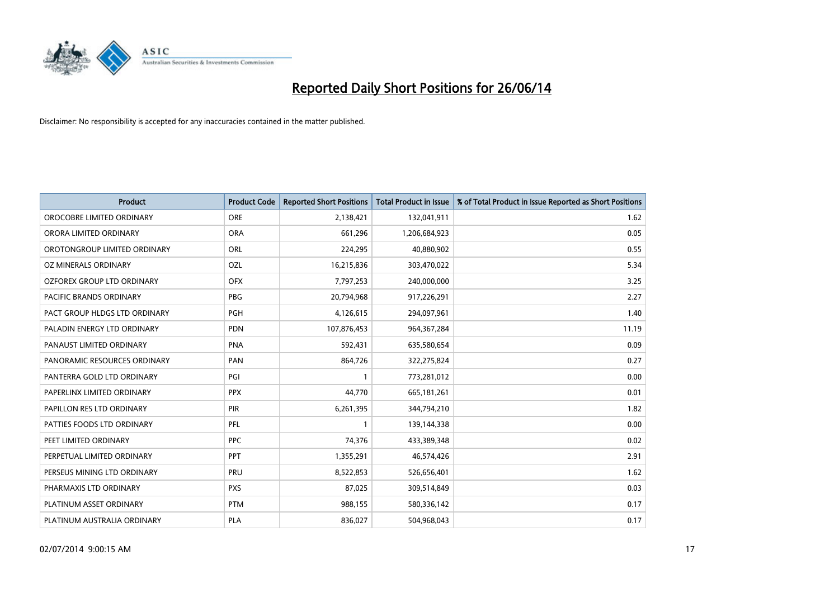

| <b>Product</b>                    | <b>Product Code</b> | <b>Reported Short Positions</b> | <b>Total Product in Issue</b> | % of Total Product in Issue Reported as Short Positions |
|-----------------------------------|---------------------|---------------------------------|-------------------------------|---------------------------------------------------------|
| OROCOBRE LIMITED ORDINARY         | <b>ORE</b>          | 2,138,421                       | 132,041,911                   | 1.62                                                    |
| ORORA LIMITED ORDINARY            | <b>ORA</b>          | 661,296                         | 1,206,684,923                 | 0.05                                                    |
| OROTONGROUP LIMITED ORDINARY      | ORL                 | 224,295                         | 40,880,902                    | 0.55                                                    |
| OZ MINERALS ORDINARY              | OZL                 | 16,215,836                      | 303,470,022                   | 5.34                                                    |
| <b>OZFOREX GROUP LTD ORDINARY</b> | <b>OFX</b>          | 7,797,253                       | 240,000,000                   | 3.25                                                    |
| <b>PACIFIC BRANDS ORDINARY</b>    | <b>PBG</b>          | 20,794,968                      | 917,226,291                   | 2.27                                                    |
| PACT GROUP HLDGS LTD ORDINARY     | <b>PGH</b>          | 4,126,615                       | 294,097,961                   | 1.40                                                    |
| PALADIN ENERGY LTD ORDINARY       | PDN                 | 107,876,453                     | 964, 367, 284                 | 11.19                                                   |
| PANAUST LIMITED ORDINARY          | <b>PNA</b>          | 592,431                         | 635,580,654                   | 0.09                                                    |
| PANORAMIC RESOURCES ORDINARY      | PAN                 | 864,726                         | 322,275,824                   | 0.27                                                    |
| PANTERRA GOLD LTD ORDINARY        | PGI                 | 1                               | 773,281,012                   | 0.00                                                    |
| PAPERLINX LIMITED ORDINARY        | <b>PPX</b>          | 44,770                          | 665, 181, 261                 | 0.01                                                    |
| PAPILLON RES LTD ORDINARY         | <b>PIR</b>          | 6,261,395                       | 344,794,210                   | 1.82                                                    |
| PATTIES FOODS LTD ORDINARY        | PFL                 | $\mathbf{1}$                    | 139,144,338                   | 0.00                                                    |
| PEET LIMITED ORDINARY             | <b>PPC</b>          | 74,376                          | 433,389,348                   | 0.02                                                    |
| PERPETUAL LIMITED ORDINARY        | <b>PPT</b>          | 1,355,291                       | 46,574,426                    | 2.91                                                    |
| PERSEUS MINING LTD ORDINARY       | PRU                 | 8,522,853                       | 526,656,401                   | 1.62                                                    |
| PHARMAXIS LTD ORDINARY            | <b>PXS</b>          | 87,025                          | 309,514,849                   | 0.03                                                    |
| PLATINUM ASSET ORDINARY           | <b>PTM</b>          | 988,155                         | 580,336,142                   | 0.17                                                    |
| PLATINUM AUSTRALIA ORDINARY       | PLA                 | 836,027                         | 504,968,043                   | 0.17                                                    |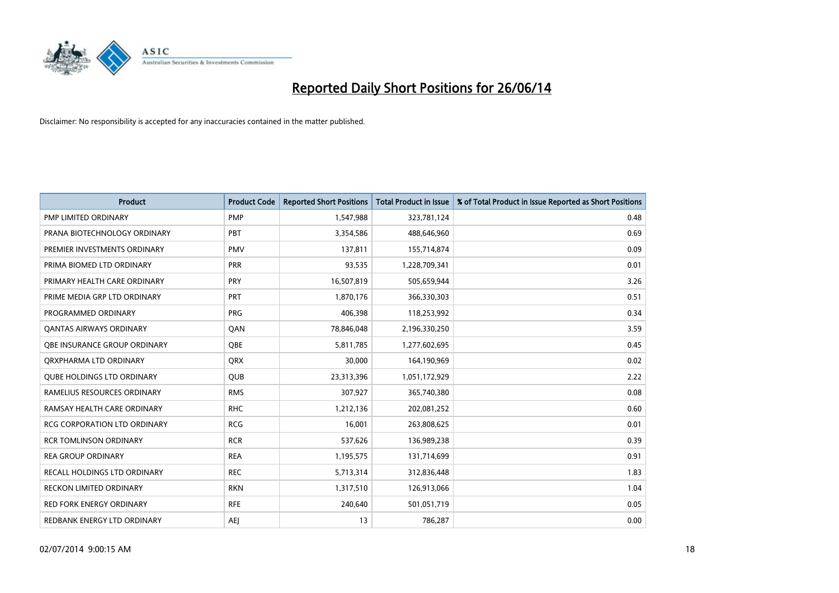

| <b>Product</b>                      | <b>Product Code</b> | <b>Reported Short Positions</b> | <b>Total Product in Issue</b> | % of Total Product in Issue Reported as Short Positions |
|-------------------------------------|---------------------|---------------------------------|-------------------------------|---------------------------------------------------------|
| <b>PMP LIMITED ORDINARY</b>         | <b>PMP</b>          | 1,547,988                       | 323,781,124                   | 0.48                                                    |
| PRANA BIOTECHNOLOGY ORDINARY        | <b>PBT</b>          | 3,354,586                       | 488,646,960                   | 0.69                                                    |
| PREMIER INVESTMENTS ORDINARY        | <b>PMV</b>          | 137,811                         | 155,714,874                   | 0.09                                                    |
| PRIMA BIOMED LTD ORDINARY           | <b>PRR</b>          | 93,535                          | 1,228,709,341                 | 0.01                                                    |
| PRIMARY HEALTH CARE ORDINARY        | <b>PRY</b>          | 16,507,819                      | 505,659,944                   | 3.26                                                    |
| PRIME MEDIA GRP LTD ORDINARY        | PRT                 | 1,870,176                       | 366,330,303                   | 0.51                                                    |
| PROGRAMMED ORDINARY                 | <b>PRG</b>          | 406,398                         | 118,253,992                   | 0.34                                                    |
| <b>QANTAS AIRWAYS ORDINARY</b>      | QAN                 | 78,846,048                      | 2,196,330,250                 | 3.59                                                    |
| OBE INSURANCE GROUP ORDINARY        | OBE                 | 5,811,785                       | 1,277,602,695                 | 0.45                                                    |
| ORXPHARMA LTD ORDINARY              | <b>QRX</b>          | 30,000                          | 164,190,969                   | 0.02                                                    |
| <b>QUBE HOLDINGS LTD ORDINARY</b>   | <b>QUB</b>          | 23,313,396                      | 1,051,172,929                 | 2.22                                                    |
| RAMELIUS RESOURCES ORDINARY         | <b>RMS</b>          | 307,927                         | 365,740,380                   | 0.08                                                    |
| RAMSAY HEALTH CARE ORDINARY         | <b>RHC</b>          | 1,212,136                       | 202,081,252                   | 0.60                                                    |
| <b>RCG CORPORATION LTD ORDINARY</b> | <b>RCG</b>          | 16,001                          | 263,808,625                   | 0.01                                                    |
| <b>RCR TOMLINSON ORDINARY</b>       | <b>RCR</b>          | 537,626                         | 136,989,238                   | 0.39                                                    |
| <b>REA GROUP ORDINARY</b>           | <b>REA</b>          | 1,195,575                       | 131,714,699                   | 0.91                                                    |
| RECALL HOLDINGS LTD ORDINARY        | <b>REC</b>          | 5,713,314                       | 312,836,448                   | 1.83                                                    |
| RECKON LIMITED ORDINARY             | <b>RKN</b>          | 1,317,510                       | 126,913,066                   | 1.04                                                    |
| <b>RED FORK ENERGY ORDINARY</b>     | <b>RFE</b>          | 240,640                         | 501,051,719                   | 0.05                                                    |
| REDBANK ENERGY LTD ORDINARY         | <b>AEJ</b>          | 13                              | 786,287                       | 0.00                                                    |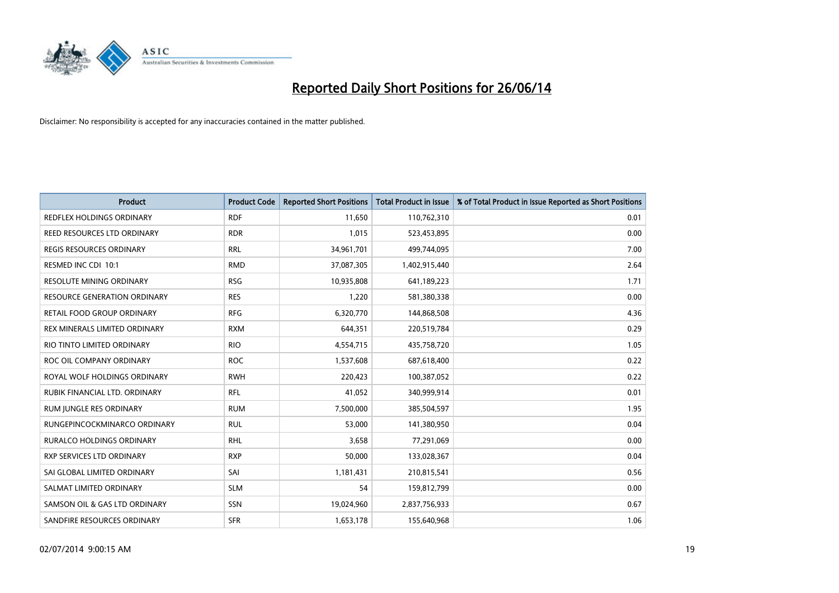

| Product                          | <b>Product Code</b> | <b>Reported Short Positions</b> | <b>Total Product in Issue</b> | % of Total Product in Issue Reported as Short Positions |
|----------------------------------|---------------------|---------------------------------|-------------------------------|---------------------------------------------------------|
| <b>REDFLEX HOLDINGS ORDINARY</b> | <b>RDF</b>          | 11,650                          | 110,762,310                   | 0.01                                                    |
| REED RESOURCES LTD ORDINARY      | <b>RDR</b>          | 1,015                           | 523,453,895                   | 0.00                                                    |
| REGIS RESOURCES ORDINARY         | <b>RRL</b>          | 34,961,701                      | 499,744,095                   | 7.00                                                    |
| RESMED INC CDI 10:1              | <b>RMD</b>          | 37,087,305                      | 1,402,915,440                 | 2.64                                                    |
| <b>RESOLUTE MINING ORDINARY</b>  | <b>RSG</b>          | 10,935,808                      | 641,189,223                   | 1.71                                                    |
| RESOURCE GENERATION ORDINARY     | <b>RES</b>          | 1,220                           | 581,380,338                   | 0.00                                                    |
| RETAIL FOOD GROUP ORDINARY       | <b>RFG</b>          | 6,320,770                       | 144,868,508                   | 4.36                                                    |
| REX MINERALS LIMITED ORDINARY    | <b>RXM</b>          | 644,351                         | 220,519,784                   | 0.29                                                    |
| RIO TINTO LIMITED ORDINARY       | <b>RIO</b>          | 4,554,715                       | 435,758,720                   | 1.05                                                    |
| ROC OIL COMPANY ORDINARY         | <b>ROC</b>          | 1,537,608                       | 687,618,400                   | 0.22                                                    |
| ROYAL WOLF HOLDINGS ORDINARY     | <b>RWH</b>          | 220,423                         | 100,387,052                   | 0.22                                                    |
| RUBIK FINANCIAL LTD. ORDINARY    | <b>RFL</b>          | 41,052                          | 340,999,914                   | 0.01                                                    |
| RUM JUNGLE RES ORDINARY          | <b>RUM</b>          | 7,500,000                       | 385,504,597                   | 1.95                                                    |
| RUNGEPINCOCKMINARCO ORDINARY     | <b>RUL</b>          | 53,000                          | 141,380,950                   | 0.04                                                    |
| <b>RURALCO HOLDINGS ORDINARY</b> | <b>RHL</b>          | 3,658                           | 77,291,069                    | 0.00                                                    |
| <b>RXP SERVICES LTD ORDINARY</b> | <b>RXP</b>          | 50,000                          | 133,028,367                   | 0.04                                                    |
| SAI GLOBAL LIMITED ORDINARY      | SAI                 | 1,181,431                       | 210,815,541                   | 0.56                                                    |
| SALMAT LIMITED ORDINARY          | <b>SLM</b>          | 54                              | 159,812,799                   | 0.00                                                    |
| SAMSON OIL & GAS LTD ORDINARY    | SSN                 | 19,024,960                      | 2,837,756,933                 | 0.67                                                    |
| SANDFIRE RESOURCES ORDINARY      | <b>SFR</b>          | 1,653,178                       | 155,640,968                   | 1.06                                                    |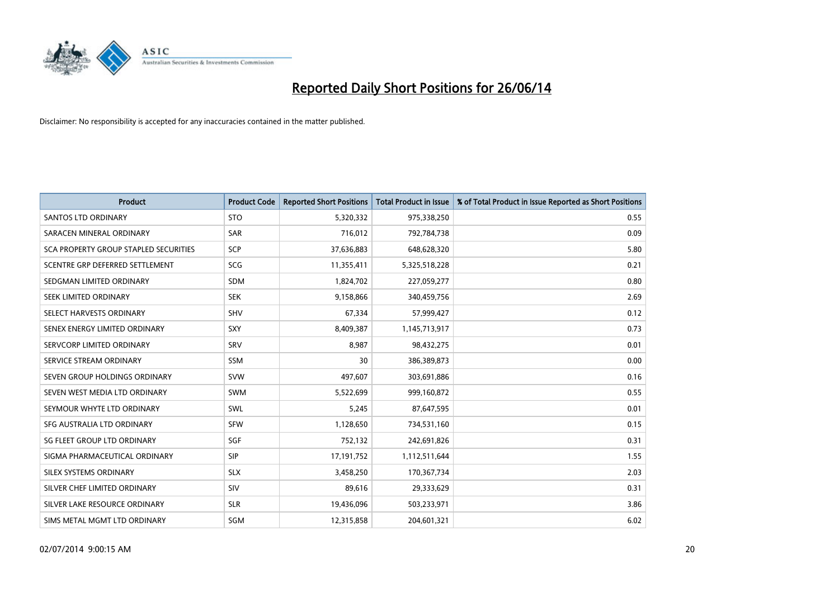

| <b>Product</b>                        | <b>Product Code</b> | <b>Reported Short Positions</b> | <b>Total Product in Issue</b> | % of Total Product in Issue Reported as Short Positions |
|---------------------------------------|---------------------|---------------------------------|-------------------------------|---------------------------------------------------------|
| <b>SANTOS LTD ORDINARY</b>            | <b>STO</b>          | 5,320,332                       | 975,338,250                   | 0.55                                                    |
| SARACEN MINERAL ORDINARY              | <b>SAR</b>          | 716,012                         | 792,784,738                   | 0.09                                                    |
| SCA PROPERTY GROUP STAPLED SECURITIES | SCP                 | 37,636,883                      | 648,628,320                   | 5.80                                                    |
| SCENTRE GRP DEFERRED SETTLEMENT       | <b>SCG</b>          | 11,355,411                      | 5,325,518,228                 | 0.21                                                    |
| SEDGMAN LIMITED ORDINARY              | <b>SDM</b>          | 1,824,702                       | 227,059,277                   | 0.80                                                    |
| SEEK LIMITED ORDINARY                 | <b>SEK</b>          | 9,158,866                       | 340,459,756                   | 2.69                                                    |
| SELECT HARVESTS ORDINARY              | SHV                 | 67,334                          | 57,999,427                    | 0.12                                                    |
| SENEX ENERGY LIMITED ORDINARY         | SXY                 | 8,409,387                       | 1,145,713,917                 | 0.73                                                    |
| SERVCORP LIMITED ORDINARY             | SRV                 | 8,987                           | 98,432,275                    | 0.01                                                    |
| SERVICE STREAM ORDINARY               | <b>SSM</b>          | 30                              | 386,389,873                   | 0.00                                                    |
| SEVEN GROUP HOLDINGS ORDINARY         | <b>SVW</b>          | 497,607                         | 303,691,886                   | 0.16                                                    |
| SEVEN WEST MEDIA LTD ORDINARY         | SWM                 | 5,522,699                       | 999,160,872                   | 0.55                                                    |
| SEYMOUR WHYTE LTD ORDINARY            | <b>SWL</b>          | 5,245                           | 87,647,595                    | 0.01                                                    |
| SFG AUSTRALIA LTD ORDINARY            | <b>SFW</b>          | 1,128,650                       | 734,531,160                   | 0.15                                                    |
| SG FLEET GROUP LTD ORDINARY           | SGF                 | 752,132                         | 242,691,826                   | 0.31                                                    |
| SIGMA PHARMACEUTICAL ORDINARY         | <b>SIP</b>          | 17,191,752                      | 1,112,511,644                 | 1.55                                                    |
| SILEX SYSTEMS ORDINARY                | <b>SLX</b>          | 3,458,250                       | 170,367,734                   | 2.03                                                    |
| SILVER CHEF LIMITED ORDINARY          | SIV                 | 89,616                          | 29,333,629                    | 0.31                                                    |
| SILVER LAKE RESOURCE ORDINARY         | <b>SLR</b>          | 19,436,096                      | 503,233,971                   | 3.86                                                    |
| SIMS METAL MGMT LTD ORDINARY          | <b>SGM</b>          | 12,315,858                      | 204,601,321                   | 6.02                                                    |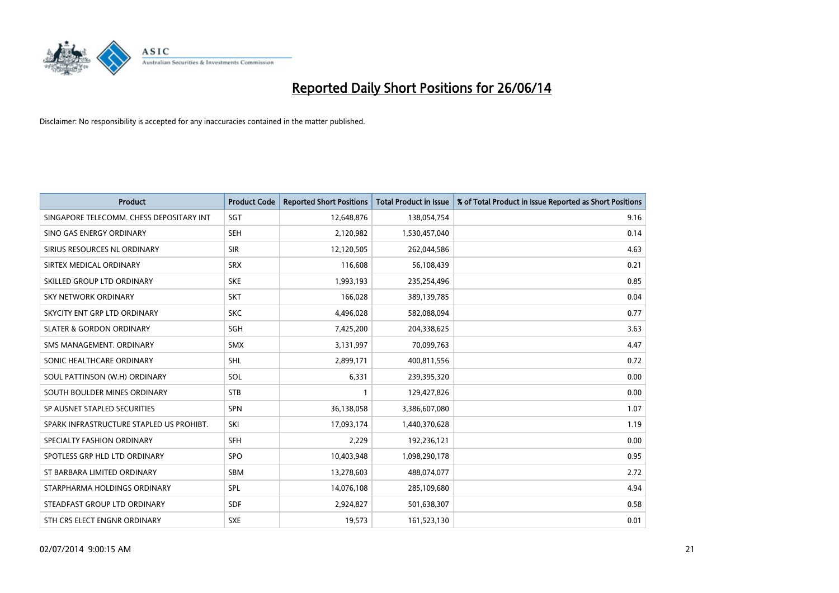

| <b>Product</b>                           | <b>Product Code</b> | <b>Reported Short Positions</b> | <b>Total Product in Issue</b> | % of Total Product in Issue Reported as Short Positions |
|------------------------------------------|---------------------|---------------------------------|-------------------------------|---------------------------------------------------------|
| SINGAPORE TELECOMM. CHESS DEPOSITARY INT | SGT                 | 12,648,876                      | 138,054,754                   | 9.16                                                    |
| SINO GAS ENERGY ORDINARY                 | <b>SEH</b>          | 2,120,982                       | 1,530,457,040                 | 0.14                                                    |
| SIRIUS RESOURCES NL ORDINARY             | <b>SIR</b>          | 12,120,505                      | 262,044,586                   | 4.63                                                    |
| SIRTEX MEDICAL ORDINARY                  | <b>SRX</b>          | 116,608                         | 56,108,439                    | 0.21                                                    |
| SKILLED GROUP LTD ORDINARY               | <b>SKE</b>          | 1,993,193                       | 235,254,496                   | 0.85                                                    |
| <b>SKY NETWORK ORDINARY</b>              | <b>SKT</b>          | 166,028                         | 389,139,785                   | 0.04                                                    |
| SKYCITY ENT GRP LTD ORDINARY             | <b>SKC</b>          | 4,496,028                       | 582,088,094                   | 0.77                                                    |
| <b>SLATER &amp; GORDON ORDINARY</b>      | SGH                 | 7,425,200                       | 204,338,625                   | 3.63                                                    |
| SMS MANAGEMENT, ORDINARY                 | <b>SMX</b>          | 3,131,997                       | 70,099,763                    | 4.47                                                    |
| SONIC HEALTHCARE ORDINARY                | <b>SHL</b>          | 2,899,171                       | 400,811,556                   | 0.72                                                    |
| SOUL PATTINSON (W.H) ORDINARY            | SOL                 | 6,331                           | 239,395,320                   | 0.00                                                    |
| SOUTH BOULDER MINES ORDINARY             | <b>STB</b>          | $\mathbf{1}$                    | 129,427,826                   | 0.00                                                    |
| SP AUSNET STAPLED SECURITIES             | <b>SPN</b>          | 36,138,058                      | 3,386,607,080                 | 1.07                                                    |
| SPARK INFRASTRUCTURE STAPLED US PROHIBT. | SKI                 | 17,093,174                      | 1,440,370,628                 | 1.19                                                    |
| SPECIALTY FASHION ORDINARY               | <b>SFH</b>          | 2,229                           | 192,236,121                   | 0.00                                                    |
| SPOTLESS GRP HLD LTD ORDINARY            | <b>SPO</b>          | 10,403,948                      | 1,098,290,178                 | 0.95                                                    |
| ST BARBARA LIMITED ORDINARY              | SBM                 | 13,278,603                      | 488,074,077                   | 2.72                                                    |
| STARPHARMA HOLDINGS ORDINARY             | <b>SPL</b>          | 14,076,108                      | 285,109,680                   | 4.94                                                    |
| STEADFAST GROUP LTD ORDINARY             | <b>SDF</b>          | 2,924,827                       | 501,638,307                   | 0.58                                                    |
| STH CRS ELECT ENGNR ORDINARY             | <b>SXE</b>          | 19,573                          | 161,523,130                   | 0.01                                                    |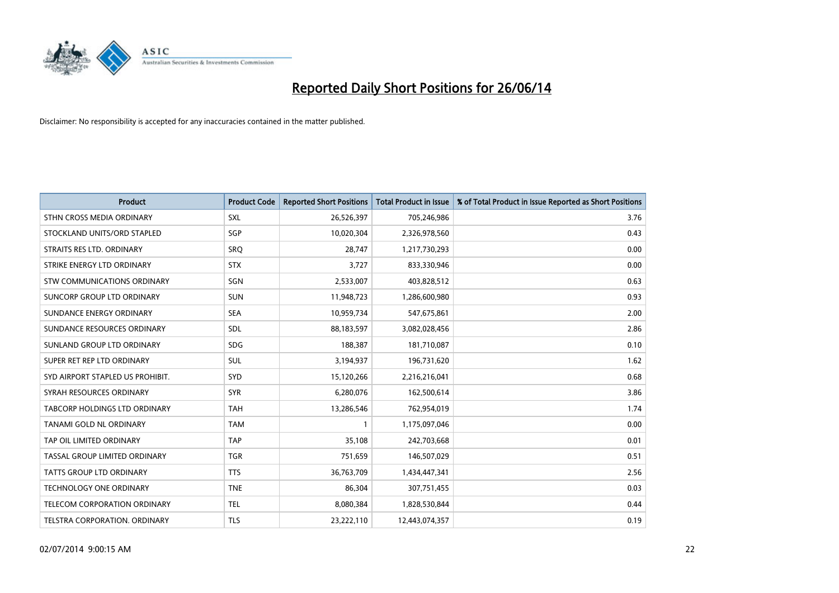

| <b>Product</b>                       | <b>Product Code</b> | <b>Reported Short Positions</b> | <b>Total Product in Issue</b> | % of Total Product in Issue Reported as Short Positions |
|--------------------------------------|---------------------|---------------------------------|-------------------------------|---------------------------------------------------------|
| STHN CROSS MEDIA ORDINARY            | <b>SXL</b>          | 26,526,397                      | 705,246,986                   | 3.76                                                    |
| STOCKLAND UNITS/ORD STAPLED          | SGP                 | 10,020,304                      | 2,326,978,560                 | 0.43                                                    |
| STRAITS RES LTD. ORDINARY            | <b>SRQ</b>          | 28,747                          | 1,217,730,293                 | 0.00                                                    |
| STRIKE ENERGY LTD ORDINARY           | <b>STX</b>          | 3,727                           | 833,330,946                   | 0.00                                                    |
| <b>STW COMMUNICATIONS ORDINARY</b>   | SGN                 | 2,533,007                       | 403,828,512                   | 0.63                                                    |
| SUNCORP GROUP LTD ORDINARY           | <b>SUN</b>          | 11,948,723                      | 1,286,600,980                 | 0.93                                                    |
| SUNDANCE ENERGY ORDINARY             | <b>SEA</b>          | 10,959,734                      | 547,675,861                   | 2.00                                                    |
| SUNDANCE RESOURCES ORDINARY          | SDL                 | 88,183,597                      | 3,082,028,456                 | 2.86                                                    |
| SUNLAND GROUP LTD ORDINARY           | <b>SDG</b>          | 188,387                         | 181,710,087                   | 0.10                                                    |
| SUPER RET REP LTD ORDINARY           | SUL                 | 3,194,937                       | 196,731,620                   | 1.62                                                    |
| SYD AIRPORT STAPLED US PROHIBIT.     | <b>SYD</b>          | 15,120,266                      | 2,216,216,041                 | 0.68                                                    |
| SYRAH RESOURCES ORDINARY             | <b>SYR</b>          | 6,280,076                       | 162,500,614                   | 3.86                                                    |
| <b>TABCORP HOLDINGS LTD ORDINARY</b> | <b>TAH</b>          | 13,286,546                      | 762,954,019                   | 1.74                                                    |
| <b>TANAMI GOLD NL ORDINARY</b>       | <b>TAM</b>          | 1                               | 1,175,097,046                 | 0.00                                                    |
| TAP OIL LIMITED ORDINARY             | <b>TAP</b>          | 35,108                          | 242,703,668                   | 0.01                                                    |
| TASSAL GROUP LIMITED ORDINARY        | <b>TGR</b>          | 751,659                         | 146,507,029                   | 0.51                                                    |
| <b>TATTS GROUP LTD ORDINARY</b>      | <b>TTS</b>          | 36,763,709                      | 1,434,447,341                 | 2.56                                                    |
| TECHNOLOGY ONE ORDINARY              | <b>TNE</b>          | 86,304                          | 307,751,455                   | 0.03                                                    |
| TELECOM CORPORATION ORDINARY         | <b>TEL</b>          | 8,080,384                       | 1,828,530,844                 | 0.44                                                    |
| TELSTRA CORPORATION, ORDINARY        | <b>TLS</b>          | 23,222,110                      | 12,443,074,357                | 0.19                                                    |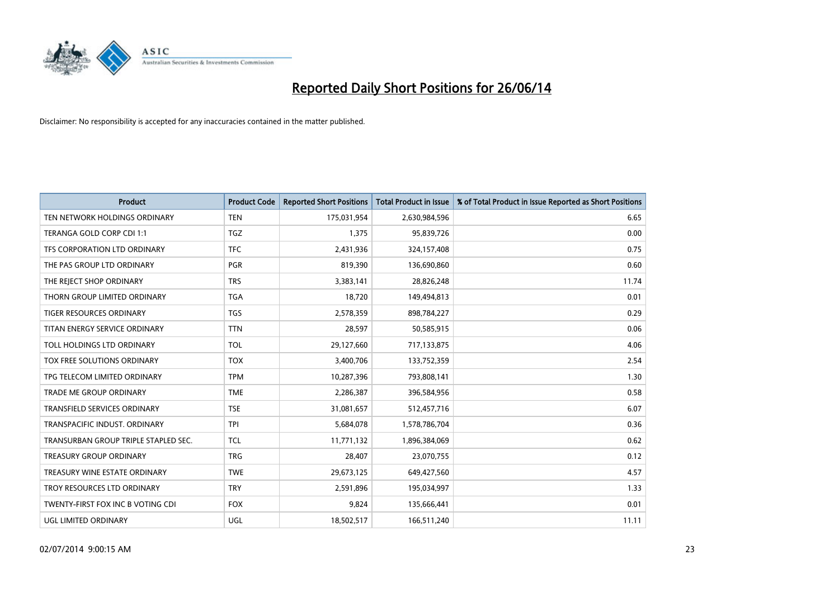

| <b>Product</b>                       | <b>Product Code</b> | <b>Reported Short Positions</b> | <b>Total Product in Issue</b> | % of Total Product in Issue Reported as Short Positions |
|--------------------------------------|---------------------|---------------------------------|-------------------------------|---------------------------------------------------------|
| TEN NETWORK HOLDINGS ORDINARY        | <b>TEN</b>          | 175,031,954                     | 2,630,984,596                 | 6.65                                                    |
| TERANGA GOLD CORP CDI 1:1            | <b>TGZ</b>          | 1,375                           | 95,839,726                    | 0.00                                                    |
| TFS CORPORATION LTD ORDINARY         | <b>TFC</b>          | 2,431,936                       | 324,157,408                   | 0.75                                                    |
| THE PAS GROUP LTD ORDINARY           | <b>PGR</b>          | 819,390                         | 136,690,860                   | 0.60                                                    |
| THE REJECT SHOP ORDINARY             | <b>TRS</b>          | 3,383,141                       | 28,826,248                    | 11.74                                                   |
| THORN GROUP LIMITED ORDINARY         | <b>TGA</b>          | 18,720                          | 149,494,813                   | 0.01                                                    |
| TIGER RESOURCES ORDINARY             | <b>TGS</b>          | 2,578,359                       | 898,784,227                   | 0.29                                                    |
| TITAN ENERGY SERVICE ORDINARY        | <b>TTN</b>          | 28,597                          | 50,585,915                    | 0.06                                                    |
| TOLL HOLDINGS LTD ORDINARY           | <b>TOL</b>          | 29,127,660                      | 717,133,875                   | 4.06                                                    |
| TOX FREE SOLUTIONS ORDINARY          | <b>TOX</b>          | 3,400,706                       | 133,752,359                   | 2.54                                                    |
| TPG TELECOM LIMITED ORDINARY         | <b>TPM</b>          | 10,287,396                      | 793,808,141                   | 1.30                                                    |
| TRADE ME GROUP ORDINARY              | <b>TME</b>          | 2,286,387                       | 396,584,956                   | 0.58                                                    |
| <b>TRANSFIELD SERVICES ORDINARY</b>  | <b>TSE</b>          | 31,081,657                      | 512,457,716                   | 6.07                                                    |
| TRANSPACIFIC INDUST, ORDINARY        | <b>TPI</b>          | 5,684,078                       | 1,578,786,704                 | 0.36                                                    |
| TRANSURBAN GROUP TRIPLE STAPLED SEC. | <b>TCL</b>          | 11,771,132                      | 1,896,384,069                 | 0.62                                                    |
| TREASURY GROUP ORDINARY              | <b>TRG</b>          | 28,407                          | 23,070,755                    | 0.12                                                    |
| TREASURY WINE ESTATE ORDINARY        | <b>TWE</b>          | 29,673,125                      | 649,427,560                   | 4.57                                                    |
| TROY RESOURCES LTD ORDINARY          | <b>TRY</b>          | 2,591,896                       | 195,034,997                   | 1.33                                                    |
| TWENTY-FIRST FOX INC B VOTING CDI    | <b>FOX</b>          | 9,824                           | 135,666,441                   | 0.01                                                    |
| UGL LIMITED ORDINARY                 | UGL                 | 18,502,517                      | 166,511,240                   | 11.11                                                   |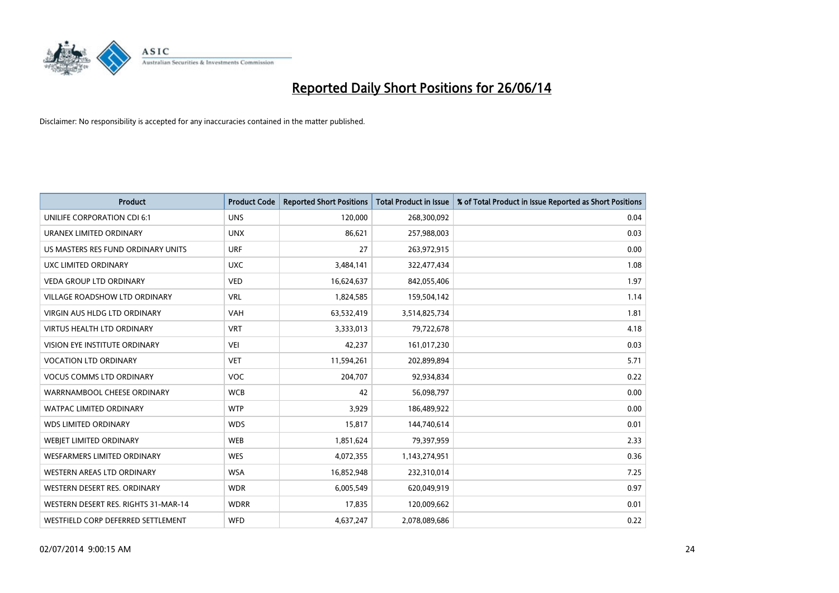

| <b>Product</b>                       | <b>Product Code</b> | <b>Reported Short Positions</b> | <b>Total Product in Issue</b> | % of Total Product in Issue Reported as Short Positions |
|--------------------------------------|---------------------|---------------------------------|-------------------------------|---------------------------------------------------------|
| UNILIFE CORPORATION CDI 6:1          | <b>UNS</b>          | 120,000                         | 268,300,092                   | 0.04                                                    |
| URANEX LIMITED ORDINARY              | <b>UNX</b>          | 86,621                          | 257,988,003                   | 0.03                                                    |
| US MASTERS RES FUND ORDINARY UNITS   | <b>URF</b>          | 27                              | 263,972,915                   | 0.00                                                    |
| UXC LIMITED ORDINARY                 | <b>UXC</b>          | 3,484,141                       | 322,477,434                   | 1.08                                                    |
| <b>VEDA GROUP LTD ORDINARY</b>       | <b>VED</b>          | 16,624,637                      | 842,055,406                   | 1.97                                                    |
| <b>VILLAGE ROADSHOW LTD ORDINARY</b> | <b>VRL</b>          | 1,824,585                       | 159,504,142                   | 1.14                                                    |
| <b>VIRGIN AUS HLDG LTD ORDINARY</b>  | <b>VAH</b>          | 63,532,419                      | 3,514,825,734                 | 1.81                                                    |
| <b>VIRTUS HEALTH LTD ORDINARY</b>    | <b>VRT</b>          | 3,333,013                       | 79,722,678                    | 4.18                                                    |
| VISION EYE INSTITUTE ORDINARY        | <b>VEI</b>          | 42,237                          | 161,017,230                   | 0.03                                                    |
| <b>VOCATION LTD ORDINARY</b>         | <b>VET</b>          | 11,594,261                      | 202,899,894                   | 5.71                                                    |
| <b>VOCUS COMMS LTD ORDINARY</b>      | <b>VOC</b>          | 204,707                         | 92,934,834                    | 0.22                                                    |
| WARRNAMBOOL CHEESE ORDINARY          | <b>WCB</b>          | 42                              | 56,098,797                    | 0.00                                                    |
| WATPAC LIMITED ORDINARY              | <b>WTP</b>          | 3,929                           | 186,489,922                   | 0.00                                                    |
| <b>WDS LIMITED ORDINARY</b>          | <b>WDS</b>          | 15,817                          | 144,740,614                   | 0.01                                                    |
| WEBJET LIMITED ORDINARY              | <b>WEB</b>          | 1,851,624                       | 79,397,959                    | 2.33                                                    |
| <b>WESFARMERS LIMITED ORDINARY</b>   | <b>WES</b>          | 4,072,355                       | 1,143,274,951                 | 0.36                                                    |
| WESTERN AREAS LTD ORDINARY           | <b>WSA</b>          | 16,852,948                      | 232,310,014                   | 7.25                                                    |
| WESTERN DESERT RES. ORDINARY         | <b>WDR</b>          | 6,005,549                       | 620,049,919                   | 0.97                                                    |
| WESTERN DESERT RES. RIGHTS 31-MAR-14 | <b>WDRR</b>         | 17,835                          | 120,009,662                   | 0.01                                                    |
| WESTFIELD CORP DEFERRED SETTLEMENT   | <b>WFD</b>          | 4,637,247                       | 2,078,089,686                 | 0.22                                                    |